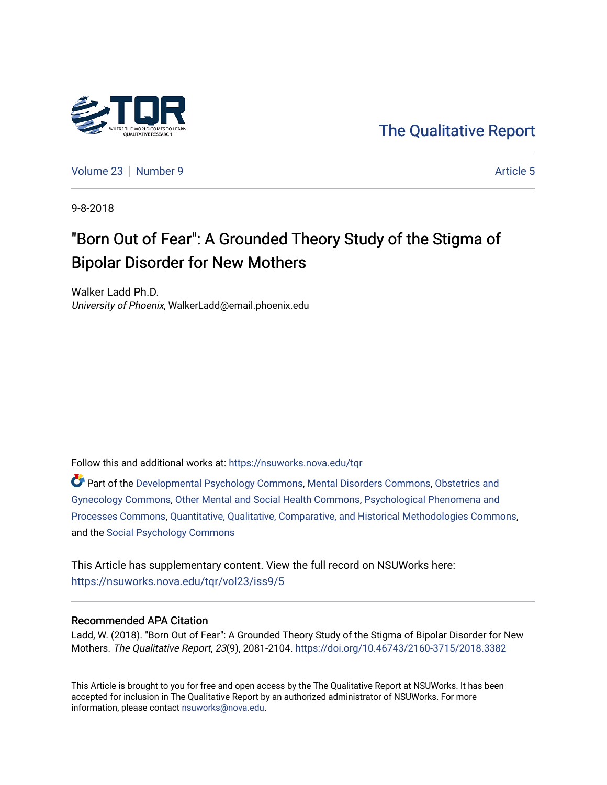

[Volume 23](https://nsuworks.nova.edu/tqr/vol23) [Number 9](https://nsuworks.nova.edu/tqr/vol23/iss9) Article 5

9-8-2018

# "Born Out of Fear": A Grounded Theory Study of the Stigma of Bipolar Disorder for New Mothers

Walker Ladd Ph.D. University of Phoenix, WalkerLadd@email.phoenix.edu

Follow this and additional works at: [https://nsuworks.nova.edu/tqr](https://nsuworks.nova.edu/tqr?utm_source=nsuworks.nova.edu%2Ftqr%2Fvol23%2Fiss9%2F5&utm_medium=PDF&utm_campaign=PDFCoverPages) 

Part of the [Developmental Psychology Commons,](http://network.bepress.com/hgg/discipline/410?utm_source=nsuworks.nova.edu%2Ftqr%2Fvol23%2Fiss9%2F5&utm_medium=PDF&utm_campaign=PDFCoverPages) [Mental Disorders Commons](http://network.bepress.com/hgg/discipline/968?utm_source=nsuworks.nova.edu%2Ftqr%2Fvol23%2Fiss9%2F5&utm_medium=PDF&utm_campaign=PDFCoverPages), [Obstetrics and](http://network.bepress.com/hgg/discipline/693?utm_source=nsuworks.nova.edu%2Ftqr%2Fvol23%2Fiss9%2F5&utm_medium=PDF&utm_campaign=PDFCoverPages)  [Gynecology Commons](http://network.bepress.com/hgg/discipline/693?utm_source=nsuworks.nova.edu%2Ftqr%2Fvol23%2Fiss9%2F5&utm_medium=PDF&utm_campaign=PDFCoverPages), [Other Mental and Social Health Commons](http://network.bepress.com/hgg/discipline/717?utm_source=nsuworks.nova.edu%2Ftqr%2Fvol23%2Fiss9%2F5&utm_medium=PDF&utm_campaign=PDFCoverPages), [Psychological Phenomena and](http://network.bepress.com/hgg/discipline/914?utm_source=nsuworks.nova.edu%2Ftqr%2Fvol23%2Fiss9%2F5&utm_medium=PDF&utm_campaign=PDFCoverPages) [Processes Commons](http://network.bepress.com/hgg/discipline/914?utm_source=nsuworks.nova.edu%2Ftqr%2Fvol23%2Fiss9%2F5&utm_medium=PDF&utm_campaign=PDFCoverPages), [Quantitative, Qualitative, Comparative, and Historical Methodologies Commons](http://network.bepress.com/hgg/discipline/423?utm_source=nsuworks.nova.edu%2Ftqr%2Fvol23%2Fiss9%2F5&utm_medium=PDF&utm_campaign=PDFCoverPages), and the [Social Psychology Commons](http://network.bepress.com/hgg/discipline/414?utm_source=nsuworks.nova.edu%2Ftqr%2Fvol23%2Fiss9%2F5&utm_medium=PDF&utm_campaign=PDFCoverPages) 

This Article has supplementary content. View the full record on NSUWorks here: <https://nsuworks.nova.edu/tqr/vol23/iss9/5>

#### Recommended APA Citation

Ladd, W. (2018). "Born Out of Fear": A Grounded Theory Study of the Stigma of Bipolar Disorder for New Mothers. The Qualitative Report, 23(9), 2081-2104.<https://doi.org/10.46743/2160-3715/2018.3382>

This Article is brought to you for free and open access by the The Qualitative Report at NSUWorks. It has been accepted for inclusion in The Qualitative Report by an authorized administrator of NSUWorks. For more information, please contact [nsuworks@nova.edu.](mailto:nsuworks@nova.edu)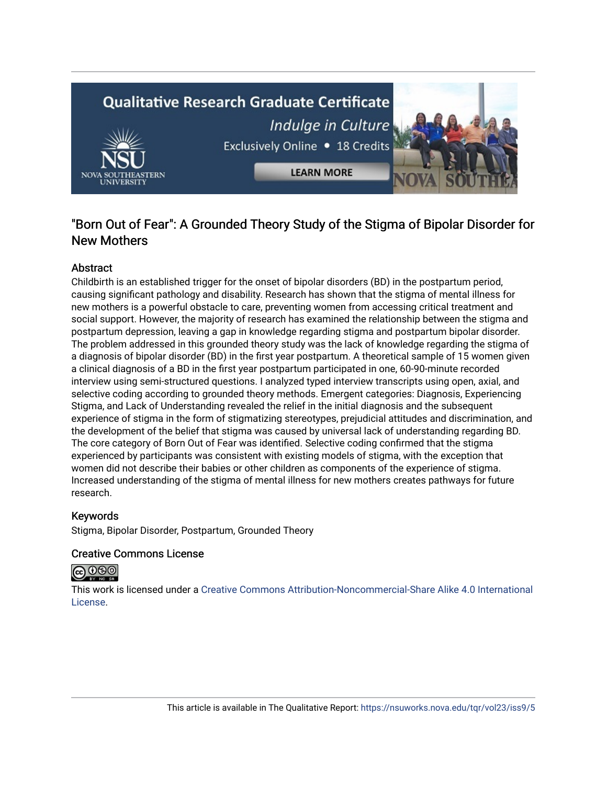# **Qualitative Research Graduate Certificate** Indulge in Culture Exclusively Online . 18 Credits **LEARN MORE**

### "Born Out of Fear": A Grounded Theory Study of the Stigma of Bipolar Disorder for New Mothers

#### **Abstract**

Childbirth is an established trigger for the onset of bipolar disorders (BD) in the postpartum period, causing significant pathology and disability. Research has shown that the stigma of mental illness for new mothers is a powerful obstacle to care, preventing women from accessing critical treatment and social support. However, the majority of research has examined the relationship between the stigma and postpartum depression, leaving a gap in knowledge regarding stigma and postpartum bipolar disorder. The problem addressed in this grounded theory study was the lack of knowledge regarding the stigma of a diagnosis of bipolar disorder (BD) in the first year postpartum. A theoretical sample of 15 women given a clinical diagnosis of a BD in the first year postpartum participated in one, 60-90-minute recorded interview using semi-structured questions. I analyzed typed interview transcripts using open, axial, and selective coding according to grounded theory methods. Emergent categories: Diagnosis, Experiencing Stigma, and Lack of Understanding revealed the relief in the initial diagnosis and the subsequent experience of stigma in the form of stigmatizing stereotypes, prejudicial attitudes and discrimination, and the development of the belief that stigma was caused by universal lack of understanding regarding BD. The core category of Born Out of Fear was identified. Selective coding confirmed that the stigma experienced by participants was consistent with existing models of stigma, with the exception that women did not describe their babies or other children as components of the experience of stigma. Increased understanding of the stigma of mental illness for new mothers creates pathways for future research.

#### Keywords

Stigma, Bipolar Disorder, Postpartum, Grounded Theory

#### Creative Commons License



This work is licensed under a [Creative Commons Attribution-Noncommercial-Share Alike 4.0 International](https://creativecommons.org/licenses/by-nc-sa/4.0/)  [License](https://creativecommons.org/licenses/by-nc-sa/4.0/).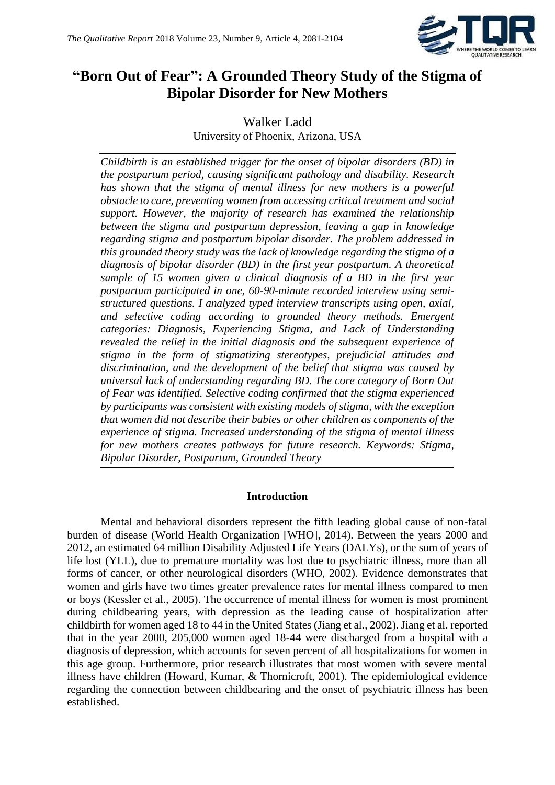

## **"Born Out of Fear": A Grounded Theory Study of the Stigma of Bipolar Disorder for New Mothers**

Walker Ladd University of Phoenix, Arizona, USA

*Childbirth is an established trigger for the onset of bipolar disorders (BD) in the postpartum period, causing significant pathology and disability. Research has shown that the stigma of mental illness for new mothers is a powerful obstacle to care, preventing women from accessing critical treatment and social support. However, the majority of research has examined the relationship between the stigma and postpartum depression, leaving a gap in knowledge regarding stigma and postpartum bipolar disorder. The problem addressed in this grounded theory study was the lack of knowledge regarding the stigma of a diagnosis of bipolar disorder (BD) in the first year postpartum. A theoretical sample of 15 women given a clinical diagnosis of a BD in the first year postpartum participated in one, 60-90-minute recorded interview using semistructured questions. I analyzed typed interview transcripts using open, axial, and selective coding according to grounded theory methods. Emergent categories: Diagnosis, Experiencing Stigma, and Lack of Understanding revealed the relief in the initial diagnosis and the subsequent experience of stigma in the form of stigmatizing stereotypes, prejudicial attitudes and discrimination, and the development of the belief that stigma was caused by universal lack of understanding regarding BD. The core category of Born Out of Fear was identified. Selective coding confirmed that the stigma experienced by participants was consistent with existing models of stigma, with the exception that women did not describe their babies or other children as components of the experience of stigma. Increased understanding of the stigma of mental illness for new mothers creates pathways for future research. Keywords: Stigma, Bipolar Disorder, Postpartum, Grounded Theory*

#### **Introduction**

Mental and behavioral disorders represent the fifth leading global cause of non-fatal burden of disease (World Health Organization [WHO], 2014). Between the years 2000 and 2012, an estimated 64 million Disability Adjusted Life Years (DALYs), or the sum of years of life lost (YLL), due to premature mortality was lost due to psychiatric illness, more than all forms of cancer, or other neurological disorders (WHO, 2002). Evidence demonstrates that women and girls have two times greater prevalence rates for mental illness compared to men or boys (Kessler et al., 2005). The occurrence of mental illness for women is most prominent during childbearing years, with depression as the leading cause of hospitalization after childbirth for women aged 18 to 44 in the United States (Jiang et al., 2002). Jiang et al. reported that in the year 2000, 205,000 women aged 18-44 were discharged from a hospital with a diagnosis of depression, which accounts for seven percent of all hospitalizations for women in this age group. Furthermore, prior research illustrates that most women with severe mental illness have children (Howard, Kumar, & Thornicroft, 2001). The epidemiological evidence regarding the connection between childbearing and the onset of psychiatric illness has been established.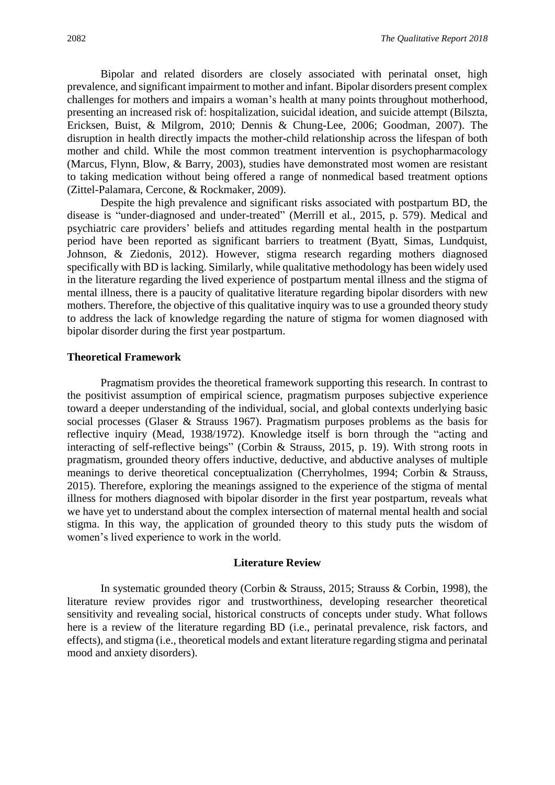Bipolar and related disorders are closely associated with perinatal onset, high prevalence, and significant impairment to mother and infant. Bipolar disorders present complex challenges for mothers and impairs a woman's health at many points throughout motherhood, presenting an increased risk of: hospitalization, suicidal ideation, and suicide attempt (Bilszta, Ericksen, Buist, & Milgrom, 2010; Dennis & Chung-Lee, 2006; Goodman, 2007). The disruption in health directly impacts the mother-child relationship across the lifespan of both mother and child. While the most common treatment intervention is psychopharmacology (Marcus, Flynn, Blow, & Barry, 2003), studies have demonstrated most women are resistant to taking medication without being offered a range of nonmedical based treatment options (Zittel-Palamara, Cercone, & Rockmaker, 2009).

Despite the high prevalence and significant risks associated with postpartum BD, the disease is "under-diagnosed and under-treated" (Merrill et al., 2015, p. 579). Medical and psychiatric care providers' beliefs and attitudes regarding mental health in the postpartum period have been reported as significant barriers to treatment (Byatt, Simas, Lundquist, Johnson, & Ziedonis, 2012). However, stigma research regarding mothers diagnosed specifically with BD is lacking. Similarly, while qualitative methodology has been widely used in the literature regarding the lived experience of postpartum mental illness and the stigma of mental illness, there is a paucity of qualitative literature regarding bipolar disorders with new mothers. Therefore, the objective of this qualitative inquiry was to use a grounded theory study to address the lack of knowledge regarding the nature of stigma for women diagnosed with bipolar disorder during the first year postpartum.

#### **Theoretical Framework**

Pragmatism provides the theoretical framework supporting this research. In contrast to the positivist assumption of empirical science, pragmatism purposes subjective experience toward a deeper understanding of the individual, social, and global contexts underlying basic social processes (Glaser & Strauss 1967). Pragmatism purposes problems as the basis for reflective inquiry (Mead, 1938/1972). Knowledge itself is born through the "acting and interacting of self-reflective beings" (Corbin & Strauss, 2015, p. 19). With strong roots in pragmatism, grounded theory offers inductive, deductive, and abductive analyses of multiple meanings to derive theoretical conceptualization (Cherryholmes, 1994; Corbin & Strauss, 2015). Therefore, exploring the meanings assigned to the experience of the stigma of mental illness for mothers diagnosed with bipolar disorder in the first year postpartum, reveals what we have yet to understand about the complex intersection of maternal mental health and social stigma. In this way, the application of grounded theory to this study puts the wisdom of women's lived experience to work in the world.

#### **Literature Review**

In systematic grounded theory (Corbin & Strauss, 2015; Strauss & Corbin, 1998), the literature review provides rigor and trustworthiness, developing researcher theoretical sensitivity and revealing social, historical constructs of concepts under study. What follows here is a review of the literature regarding BD (i.e., perinatal prevalence, risk factors, and effects), and stigma (i.e., theoretical models and extant literature regarding stigma and perinatal mood and anxiety disorders).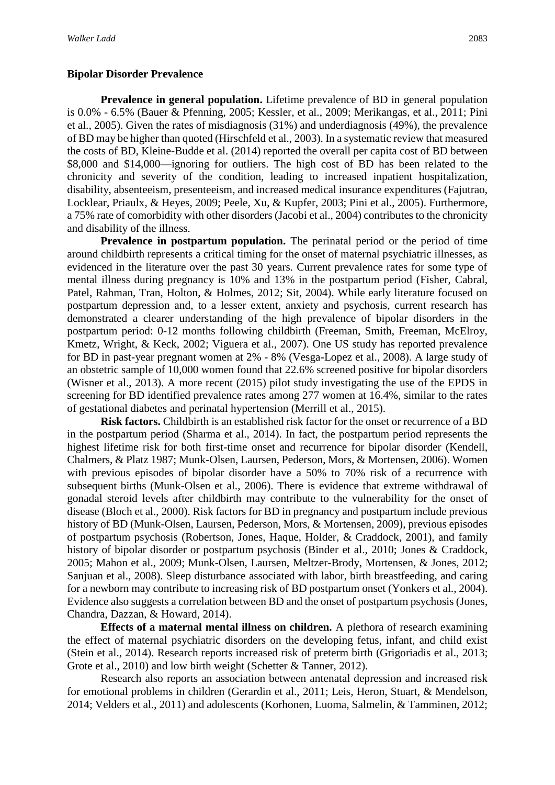#### **Bipolar Disorder Prevalence**

**Prevalence in general population.** Lifetime prevalence of BD in general population is 0.0% - 6.5% (Bauer & Pfenning, 2005; Kessler, et al., 2009; Merikangas, et al., 2011; Pini et al., 2005). Given the rates of misdiagnosis (31%) and underdiagnosis (49%), the prevalence of BD may be higher than quoted (Hirschfeld et al., 2003). In a systematic review that measured the costs of BD, Kleine-Budde et al. (2014) reported the overall per capita cost of BD between \$8,000 and \$14,000—ignoring for outliers. The high cost of BD has been related to the chronicity and severity of the condition, leading to increased inpatient hospitalization, disability, absenteeism, presenteeism, and increased medical insurance expenditures (Fajutrao, Locklear, Priaulx, & Heyes, 2009; Peele, Xu, & Kupfer, 2003; Pini et al., 2005). Furthermore, a 75% rate of comorbidity with other disorders (Jacobi et al., 2004) contributes to the chronicity and disability of the illness.

**Prevalence in postpartum population.** The perinatal period or the period of time around childbirth represents a critical timing for the onset of maternal psychiatric illnesses, as evidenced in the literature over the past 30 years. Current prevalence rates for some type of mental illness during pregnancy is 10% and 13% in the postpartum period (Fisher, Cabral, Patel, Rahman, Tran, Holton, & Holmes, 2012; Sit, 2004). While early literature focused on postpartum depression and, to a lesser extent, anxiety and psychosis, current research has demonstrated a clearer understanding of the high prevalence of bipolar disorders in the postpartum period: 0-12 months following childbirth (Freeman, Smith, Freeman, McElroy, Kmetz, Wright, & Keck, 2002; Viguera et al., 2007). One US study has reported prevalence for BD in past-year pregnant women at 2% - 8% (Vesga-Lopez et al., 2008). A large study of an obstetric sample of 10,000 women found that 22.6% screened positive for bipolar disorders (Wisner et al., 2013). A more recent (2015) pilot study investigating the use of the EPDS in screening for BD identified prevalence rates among 277 women at 16.4%, similar to the rates of gestational diabetes and perinatal hypertension (Merrill et al., 2015).

**Risk factors.** Childbirth is an established risk factor for the onset or recurrence of a BD in the postpartum period (Sharma et al., 2014). In fact, the postpartum period represents the highest lifetime risk for both first-time onset and recurrence for bipolar disorder (Kendell, Chalmers, & Platz 1987; Munk-Olsen, Laursen, Pederson, Mors, & Mortensen, 2006). Women with previous episodes of bipolar disorder have a 50% to 70% risk of a recurrence with subsequent births (Munk-Olsen et al., 2006). There is evidence that extreme withdrawal of gonadal steroid levels after childbirth may contribute to the vulnerability for the onset of disease (Bloch et al., 2000). Risk factors for BD in pregnancy and postpartum include previous history of BD (Munk-Olsen, Laursen, Pederson, Mors, & Mortensen, 2009), previous episodes of postpartum psychosis (Robertson, Jones, Haque, Holder, & Craddock, 2001), and family history of bipolar disorder or postpartum psychosis (Binder et al., 2010; Jones & Craddock, 2005; Mahon et al., 2009; Munk-Olsen, Laursen, Meltzer-Brody, Mortensen, & Jones, 2012; Sanjuan et al., 2008). Sleep disturbance associated with labor, birth breastfeeding, and caring for a newborn may contribute to increasing risk of BD postpartum onset (Yonkers et al., 2004). Evidence also suggests a correlation between BD and the onset of postpartum psychosis (Jones, Chandra, Dazzan, & Howard, 2014).

**Effects of a maternal mental illness on children.** A plethora of research examining the effect of maternal psychiatric disorders on the developing fetus, infant, and child exist (Stein et al., 2014). Research reports increased risk of preterm birth (Grigoriadis et al., 2013; Grote et al., 2010) and low birth weight (Schetter & Tanner, 2012).

Research also reports an association between antenatal depression and increased risk for emotional problems in children (Gerardin et al., 2011; Leis, Heron, Stuart, & Mendelson, 2014; Velders et al., 2011) and adolescents (Korhonen, Luoma, Salmelin, & Tamminen, 2012;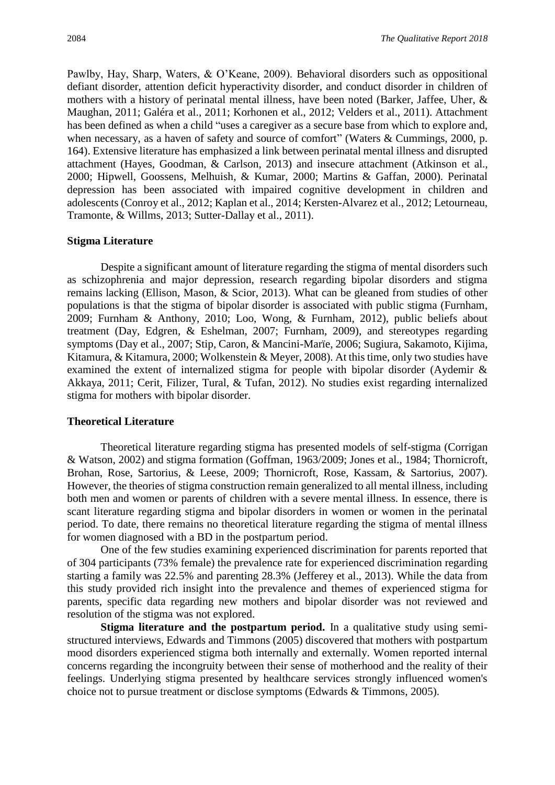Pawlby, Hay, Sharp, Waters, & O'Keane, 2009). Behavioral disorders such as oppositional defiant disorder, attention deficit hyperactivity disorder, and conduct disorder in children of mothers with a history of perinatal mental illness, have been noted (Barker, Jaffee, Uher, & Maughan, 2011; Galéra et al., 2011; Korhonen et al., 2012; Velders et al., 2011). Attachment has been defined as when a child "uses a caregiver as a secure base from which to explore and, when necessary, as a haven of safety and source of comfort" (Waters & Cummings, 2000, p. 164). Extensive literature has emphasized a link between perinatal mental illness and disrupted attachment (Hayes, Goodman, & Carlson, 2013) and insecure attachment (Atkinson et al., 2000; Hipwell, Goossens, Melhuish, & Kumar, 2000; Martins & Gaffan, 2000). Perinatal depression has been associated with impaired cognitive development in children and adolescents (Conroy et al., 2012; Kaplan et al., 2014; Kersten-Alvarez et al., 2012; Letourneau, Tramonte, & Willms, 2013; Sutter-Dallay et al., 2011).

#### **Stigma Literature**

Despite a significant amount of literature regarding the stigma of mental disorders such as schizophrenia and major depression, research regarding bipolar disorders and stigma remains lacking (Ellison, Mason, & Scior, 2013). What can be gleaned from studies of other populations is that the stigma of bipolar disorder is associated with public stigma (Furnham, 2009; Furnham & Anthony, 2010; Loo, Wong, & Furnham, 2012), public beliefs about treatment (Day, Edgren, & Eshelman, 2007; Furnham, 2009), and stereotypes regarding symptoms (Day et al., 2007; Stip, Caron, & Mancini-Marïe, 2006; Sugiura, Sakamoto, Kijima, Kitamura, & Kitamura, 2000; Wolkenstein & Meyer, 2008). At this time, only two studies have examined the extent of internalized stigma for people with bipolar disorder (Aydemir & Akkaya, 2011; Cerit, Filizer, Tural, & Tufan, 2012). No studies exist regarding internalized stigma for mothers with bipolar disorder.

#### **Theoretical Literature**

Theoretical literature regarding stigma has presented models of self-stigma (Corrigan & Watson, 2002) and stigma formation (Goffman, 1963/2009; Jones et al., 1984; Thornicroft, Brohan, Rose, Sartorius, & Leese, 2009; Thornicroft, Rose, Kassam, & Sartorius, 2007). However, the theories of stigma construction remain generalized to all mental illness, including both men and women or parents of children with a severe mental illness. In essence, there is scant literature regarding stigma and bipolar disorders in women or women in the perinatal period. To date, there remains no theoretical literature regarding the stigma of mental illness for women diagnosed with a BD in the postpartum period.

One of the few studies examining experienced discrimination for parents reported that of 304 participants (73% female) the prevalence rate for experienced discrimination regarding starting a family was 22.5% and parenting 28.3% (Jefferey et al., 2013). While the data from this study provided rich insight into the prevalence and themes of experienced stigma for parents, specific data regarding new mothers and bipolar disorder was not reviewed and resolution of the stigma was not explored.

**Stigma literature and the postpartum period.** In a qualitative study using semistructured interviews, Edwards and Timmons (2005) discovered that mothers with postpartum mood disorders experienced stigma both internally and externally. Women reported internal concerns regarding the incongruity between their sense of motherhood and the reality of their feelings. Underlying stigma presented by healthcare services strongly influenced women's choice not to pursue treatment or disclose symptoms (Edwards & Timmons, 2005).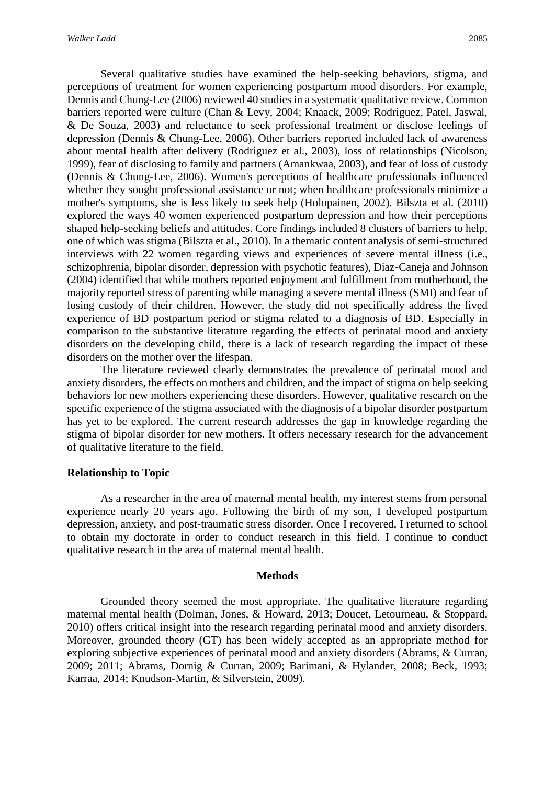Several qualitative studies have examined the help-seeking behaviors, stigma, and perceptions of treatment for women experiencing postpartum mood disorders. For example, Dennis and Chung-Lee (2006) reviewed 40 studies in a systematic qualitative review. Common barriers reported were culture (Chan & Levy, 2004; Knaack, 2009; Rodriguez, Patel, Jaswal, & De Souza, 2003) and reluctance to seek professional treatment or disclose feelings of depression (Dennis & Chung-Lee, 2006). Other barriers reported included lack of awareness about mental health after delivery (Rodriguez et al., 2003), loss of relationships (Nicolson, 1999), fear of disclosing to family and partners (Amankwaa, 2003), and fear of loss of custody (Dennis & Chung-Lee, 2006). Women's perceptions of healthcare professionals influenced whether they sought professional assistance or not; when healthcare professionals minimize a mother's symptoms, she is less likely to seek help (Holopainen, 2002). Bilszta et al. (2010) explored the ways 40 women experienced postpartum depression and how their perceptions shaped help-seeking beliefs and attitudes. Core findings included 8 clusters of barriers to help, one of which was stigma (Bilszta et al., 2010). In a thematic content analysis of semi-structured interviews with 22 women regarding views and experiences of severe mental illness (i.e., schizophrenia, bipolar disorder, depression with psychotic features), Diaz-Caneja and Johnson (2004) identified that while mothers reported enjoyment and fulfillment from motherhood, the majority reported stress of parenting while managing a severe mental illness (SMI) and fear of losing custody of their children. However, the study did not specifically address the lived experience of BD postpartum period or stigma related to a diagnosis of BD. Especially in comparison to the substantive literature regarding the effects of perinatal mood and anxiety disorders on the developing child, there is a lack of research regarding the impact of these disorders on the mother over the lifespan.

The literature reviewed clearly demonstrates the prevalence of perinatal mood and anxiety disorders, the effects on mothers and children, and the impact of stigma on help seeking behaviors for new mothers experiencing these disorders. However, qualitative research on the specific experience of the stigma associated with the diagnosis of a bipolar disorder postpartum has yet to be explored. The current research addresses the gap in knowledge regarding the stigma of bipolar disorder for new mothers. It offers necessary research for the advancement of qualitative literature to the field.

#### **Relationship to Topic**

As a researcher in the area of maternal mental health, my interest stems from personal experience nearly 20 years ago. Following the birth of my son, I developed postpartum depression, anxiety, and post-traumatic stress disorder. Once I recovered, I returned to school to obtain my doctorate in order to conduct research in this field. I continue to conduct qualitative research in the area of maternal mental health.

#### **Methods**

Grounded theory seemed the most appropriate. The qualitative literature regarding maternal mental health (Dolman, Jones, & Howard, 2013; Doucet, Letourneau, & Stoppard, 2010) offers critical insight into the research regarding perinatal mood and anxiety disorders. Moreover, grounded theory (GT) has been widely accepted as an appropriate method for exploring subjective experiences of perinatal mood and anxiety disorders (Abrams, & Curran, 2009; 2011; Abrams, Dornig & Curran, 2009; Barimani, & Hylander, 2008; Beck, 1993; Karraa, 2014; Knudson-Martin, & Silverstein, 2009).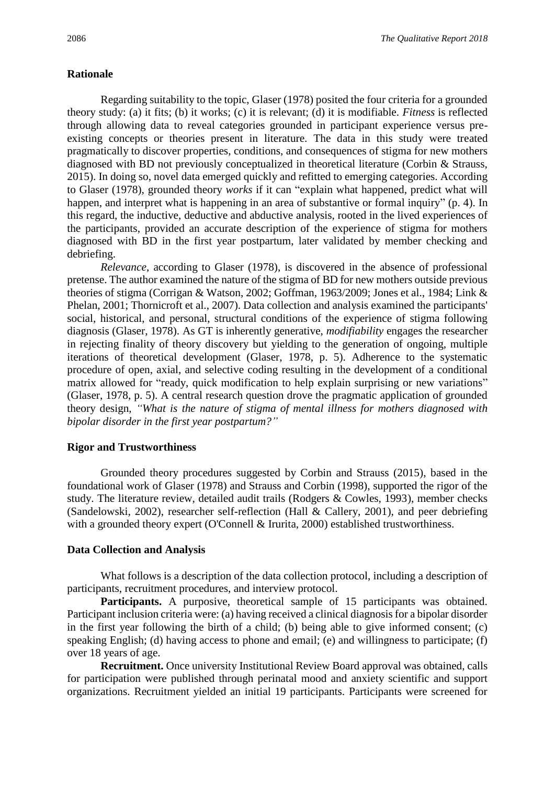#### **Rationale**

Regarding suitability to the topic, Glaser (1978) posited the four criteria for a grounded theory study: (a) it fits; (b) it works; (c) it is relevant; (d) it is modifiable. *Fitness* is reflected through allowing data to reveal categories grounded in participant experience versus preexisting concepts or theories present in literature. The data in this study were treated pragmatically to discover properties, conditions, and consequences of stigma for new mothers diagnosed with BD not previously conceptualized in theoretical literature (Corbin & Strauss, 2015). In doing so, novel data emerged quickly and refitted to emerging categories. According to Glaser (1978), grounded theory *works* if it can "explain what happened, predict what will happen, and interpret what is happening in an area of substantive or formal inquiry" (p. 4). In this regard, the inductive, deductive and abductive analysis, rooted in the lived experiences of the participants, provided an accurate description of the experience of stigma for mothers diagnosed with BD in the first year postpartum, later validated by member checking and debriefing.

*Relevance*, according to Glaser (1978), is discovered in the absence of professional pretense. The author examined the nature of the stigma of BD for new mothers outside previous theories of stigma (Corrigan & Watson, 2002; Goffman, 1963/2009; Jones et al., 1984; Link & Phelan, 2001; Thornicroft et al., 2007). Data collection and analysis examined the participants' social, historical, and personal, structural conditions of the experience of stigma following diagnosis (Glaser, 1978). As GT is inherently generative, *modifiability* engages the researcher in rejecting finality of theory discovery but yielding to the generation of ongoing, multiple iterations of theoretical development (Glaser, 1978, p. 5). Adherence to the systematic procedure of open, axial, and selective coding resulting in the development of a conditional matrix allowed for "ready, quick modification to help explain surprising or new variations" (Glaser, 1978, p. 5). A central research question drove the pragmatic application of grounded theory design, *"What is the nature of stigma of mental illness for mothers diagnosed with bipolar disorder in the first year postpartum?"*

#### **Rigor and Trustworthiness**

Grounded theory procedures suggested by Corbin and Strauss (2015), based in the foundational work of Glaser (1978) and Strauss and Corbin (1998), supported the rigor of the study. The literature review, detailed audit trails (Rodgers & Cowles, 1993), member checks (Sandelowski, 2002), researcher self-reflection (Hall & Callery, 2001), and peer debriefing with a grounded theory expert (O'Connell & Irurita, 2000) established trustworthiness.

#### **Data Collection and Analysis**

What follows is a description of the data collection protocol, including a description of participants, recruitment procedures, and interview protocol.

Participants. A purposive, theoretical sample of 15 participants was obtained. Participant inclusion criteria were: (a) having received a clinical diagnosis for a bipolar disorder in the first year following the birth of a child; (b) being able to give informed consent; (c) speaking English; (d) having access to phone and email; (e) and willingness to participate; (f) over 18 years of age.

**Recruitment.** Once university Institutional Review Board approval was obtained, calls for participation were published through perinatal mood and anxiety scientific and support organizations. Recruitment yielded an initial 19 participants. Participants were screened for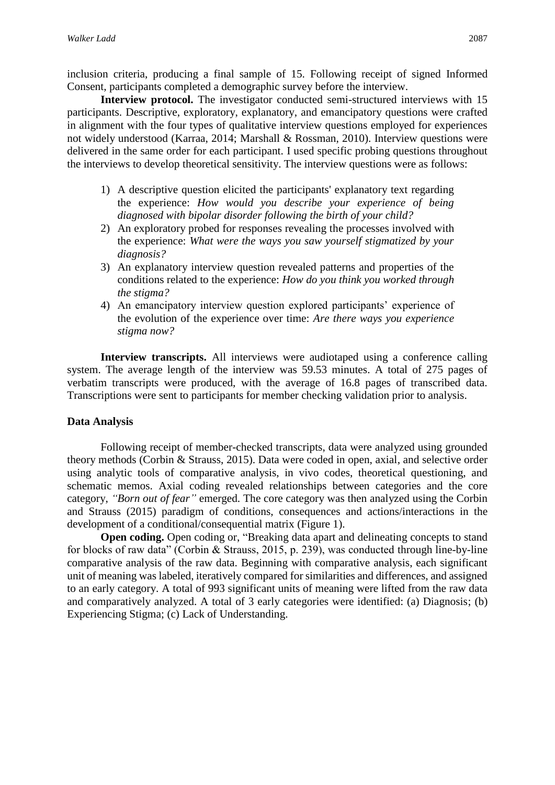inclusion criteria, producing a final sample of 15. Following receipt of signed Informed Consent, participants completed a demographic survey before the interview.

**Interview protocol.** The investigator conducted semi-structured interviews with 15 participants. Descriptive, exploratory, explanatory, and emancipatory questions were crafted in alignment with the four types of qualitative interview questions employed for experiences not widely understood (Karraa, 2014; Marshall & Rossman, 2010). Interview questions were delivered in the same order for each participant. I used specific probing questions throughout the interviews to develop theoretical sensitivity. The interview questions were as follows:

- 1) A descriptive question elicited the participants' explanatory text regarding the experience: *How would you describe your experience of being diagnosed with bipolar disorder following the birth of your child?*
- 2) An exploratory probed for responses revealing the processes involved with the experience: *What were the ways you saw yourself stigmatized by your diagnosis?*
- 3) An explanatory interview question revealed patterns and properties of the conditions related to the experience: *How do you think you worked through the stigma?*
- 4) An emancipatory interview question explored participants' experience of the evolution of the experience over time: *Are there ways you experience stigma now?*

**Interview transcripts.** All interviews were audiotaped using a conference calling system. The average length of the interview was 59.53 minutes. A total of 275 pages of verbatim transcripts were produced, with the average of 16.8 pages of transcribed data. Transcriptions were sent to participants for member checking validation prior to analysis.

#### **Data Analysis**

Following receipt of member-checked transcripts, data were analyzed using grounded theory methods (Corbin & Strauss, 2015). Data were coded in open, axial, and selective order using analytic tools of comparative analysis, in vivo codes, theoretical questioning, and schematic memos. Axial coding revealed relationships between categories and the core category, *"Born out of fear"* emerged. The core category was then analyzed using the Corbin and Strauss (2015) paradigm of conditions, consequences and actions/interactions in the development of a conditional/consequential matrix (Figure 1).

**Open coding.** Open coding or, "Breaking data apart and delineating concepts to stand for blocks of raw data" (Corbin & Strauss, 2015, p. 239), was conducted through line-by-line comparative analysis of the raw data. Beginning with comparative analysis, each significant unit of meaning was labeled, iteratively compared for similarities and differences, and assigned to an early category. A total of 993 significant units of meaning were lifted from the raw data and comparatively analyzed. A total of 3 early categories were identified: (a) Diagnosis; (b) Experiencing Stigma; (c) Lack of Understanding.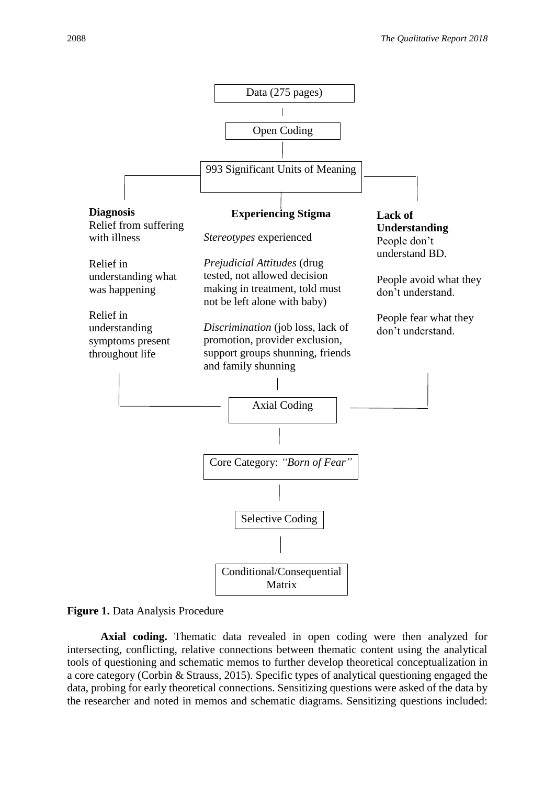



**Axial coding.** Thematic data revealed in open coding were then analyzed for intersecting, conflicting, relative connections between thematic content using the analytical tools of questioning and schematic memos to further develop theoretical conceptualization in a core category (Corbin & Strauss, 2015). Specific types of analytical questioning engaged the data, probing for early theoretical connections. Sensitizing questions were asked of the data by the researcher and noted in memos and schematic diagrams. Sensitizing questions included: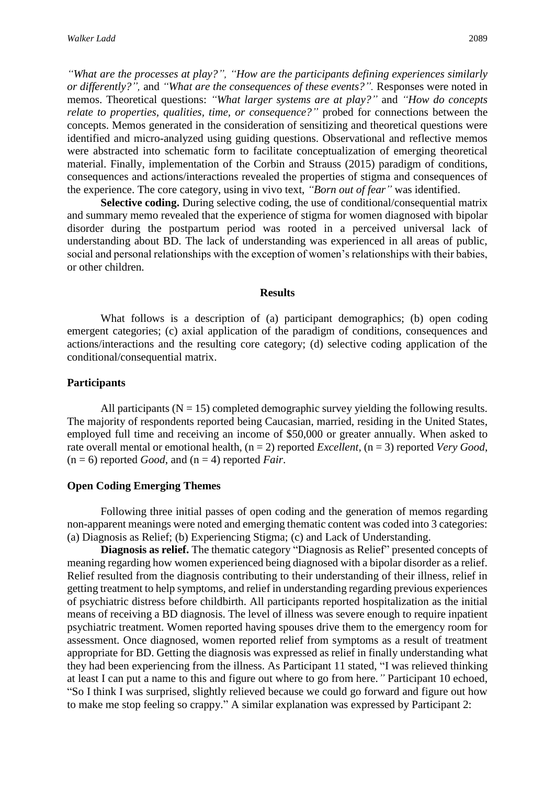*"What are the processes at play?", "How are the participants defining experiences similarly or differently?",* and *"What are the consequences of these events?".* Responses were noted in memos. Theoretical questions: *"What larger systems are at play?"* and *"How do concepts relate to properties, qualities, time, or consequence?"* probed for connections between the concepts. Memos generated in the consideration of sensitizing and theoretical questions were identified and micro-analyzed using guiding questions. Observational and reflective memos were abstracted into schematic form to facilitate conceptualization of emerging theoretical material. Finally, implementation of the Corbin and Strauss (2015) paradigm of conditions, consequences and actions/interactions revealed the properties of stigma and consequences of the experience. The core category, using in vivo text, *"Born out of fear"* was identified.

**Selective coding.** During selective coding, the use of conditional/consequential matrix and summary memo revealed that the experience of stigma for women diagnosed with bipolar disorder during the postpartum period was rooted in a perceived universal lack of understanding about BD. The lack of understanding was experienced in all areas of public, social and personal relationships with the exception of women's relationships with their babies, or other children.

#### **Results**

What follows is a description of (a) participant demographics; (b) open coding emergent categories; (c) axial application of the paradigm of conditions, consequences and actions/interactions and the resulting core category; (d) selective coding application of the conditional/consequential matrix.

#### **Participants**

All participants ( $N = 15$ ) completed demographic survey yielding the following results. The majority of respondents reported being Caucasian, married, residing in the United States, employed full time and receiving an income of \$50,000 or greater annually. When asked to rate overall mental or emotional health, (n = 2) reported *Excellent*, (n = 3) reported *Very Good*,  $(n = 6)$  reported *Good*, and  $(n = 4)$  reported *Fair*.

#### **Open Coding Emerging Themes**

Following three initial passes of open coding and the generation of memos regarding non-apparent meanings were noted and emerging thematic content was coded into 3 categories: (a) Diagnosis as Relief; (b) Experiencing Stigma; (c) and Lack of Understanding.

**Diagnosis as relief.** The thematic category "Diagnosis as Relief" presented concepts of meaning regarding how women experienced being diagnosed with a bipolar disorder as a relief. Relief resulted from the diagnosis contributing to their understanding of their illness, relief in getting treatment to help symptoms, and relief in understanding regarding previous experiences of psychiatric distress before childbirth. All participants reported hospitalization as the initial means of receiving a BD diagnosis. The level of illness was severe enough to require inpatient psychiatric treatment. Women reported having spouses drive them to the emergency room for assessment. Once diagnosed, women reported relief from symptoms as a result of treatment appropriate for BD. Getting the diagnosis was expressed as relief in finally understanding what they had been experiencing from the illness. As Participant 11 stated, "I was relieved thinking at least I can put a name to this and figure out where to go from here.*"* Participant 10 echoed, "So I think I was surprised, slightly relieved because we could go forward and figure out how to make me stop feeling so crappy." A similar explanation was expressed by Participant 2: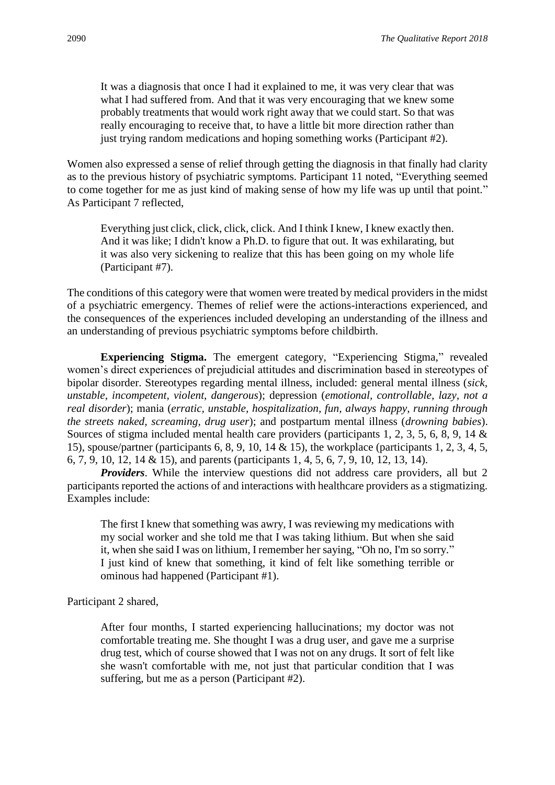It was a diagnosis that once I had it explained to me, it was very clear that was what I had suffered from. And that it was very encouraging that we knew some probably treatments that would work right away that we could start. So that was really encouraging to receive that, to have a little bit more direction rather than just trying random medications and hoping something works (Participant #2).

Women also expressed a sense of relief through getting the diagnosis in that finally had clarity as to the previous history of psychiatric symptoms. Participant 11 noted, "Everything seemed to come together for me as just kind of making sense of how my life was up until that point." As Participant 7 reflected,

Everything just click, click, click, click. And I think I knew, I knew exactly then. And it was like; I didn't know a Ph.D. to figure that out. It was exhilarating, but it was also very sickening to realize that this has been going on my whole life (Participant #7).

The conditions of this category were that women were treated by medical providers in the midst of a psychiatric emergency. Themes of relief were the actions-interactions experienced, and the consequences of the experiences included developing an understanding of the illness and an understanding of previous psychiatric symptoms before childbirth.

**Experiencing Stigma.** The emergent category, "Experiencing Stigma," revealed women's direct experiences of prejudicial attitudes and discrimination based in stereotypes of bipolar disorder. Stereotypes regarding mental illness, included: general mental illness (*sick, unstable, incompetent, violent, dangerous*); depression (*emotional, controllable, lazy, not a real disorder*); mania (*erratic, unstable, hospitalization, fun, always happy, running through the streets naked, screaming, drug user*); and postpartum mental illness (*drowning babies*). Sources of stigma included mental health care providers (participants 1, 2, 3, 5, 6, 8, 9, 14 & 15), spouse/partner (participants 6, 8, 9, 10, 14 & 15), the workplace (participants 1, 2, 3, 4, 5, 6, 7, 9, 10, 12, 14 & 15), and parents (participants 1, 4, 5, 6, 7, 9, 10, 12, 13, 14).

*Providers*. While the interview questions did not address care providers, all but 2 participants reported the actions of and interactions with healthcare providers as a stigmatizing. Examples include:

The first I knew that something was awry, I was reviewing my medications with my social worker and she told me that I was taking lithium. But when she said it, when she said I was on lithium, I remember her saying, "Oh no, I'm so sorry." I just kind of knew that something, it kind of felt like something terrible or ominous had happened (Participant #1).

Participant 2 shared,

After four months, I started experiencing hallucinations; my doctor was not comfortable treating me. She thought I was a drug user, and gave me a surprise drug test, which of course showed that I was not on any drugs. It sort of felt like she wasn't comfortable with me, not just that particular condition that I was suffering, but me as a person (Participant #2).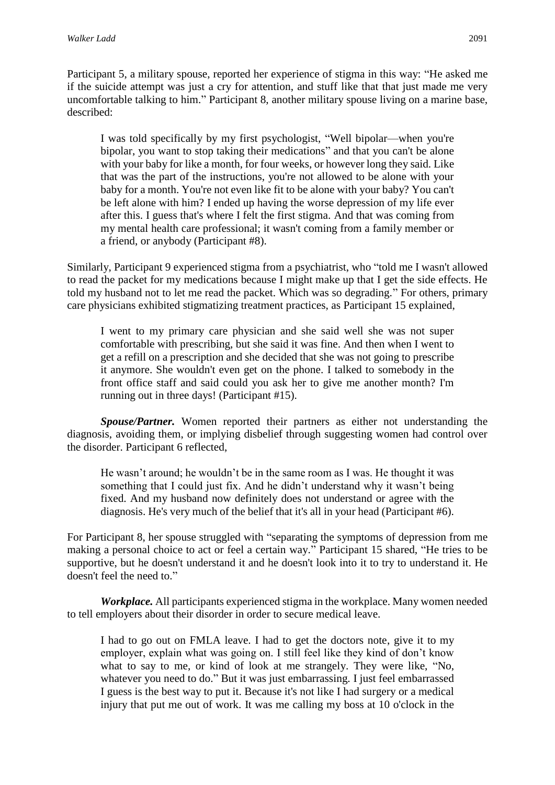Participant 5, a military spouse, reported her experience of stigma in this way: "He asked me if the suicide attempt was just a cry for attention, and stuff like that that just made me very uncomfortable talking to him." Participant 8, another military spouse living on a marine base, described:

I was told specifically by my first psychologist, "Well bipolar—when you're bipolar, you want to stop taking their medications" and that you can't be alone with your baby for like a month, for four weeks, or however long they said. Like that was the part of the instructions, you're not allowed to be alone with your baby for a month. You're not even like fit to be alone with your baby? You can't be left alone with him? I ended up having the worse depression of my life ever after this. I guess that's where I felt the first stigma. And that was coming from my mental health care professional; it wasn't coming from a family member or a friend, or anybody (Participant #8).

Similarly, Participant 9 experienced stigma from a psychiatrist, who "told me I wasn't allowed to read the packet for my medications because I might make up that I get the side effects. He told my husband not to let me read the packet. Which was so degrading." For others, primary care physicians exhibited stigmatizing treatment practices, as Participant 15 explained,

I went to my primary care physician and she said well she was not super comfortable with prescribing, but she said it was fine. And then when I went to get a refill on a prescription and she decided that she was not going to prescribe it anymore. She wouldn't even get on the phone. I talked to somebody in the front office staff and said could you ask her to give me another month? I'm running out in three days! (Participant #15).

*Spouse/Partner.* Women reported their partners as either not understanding the diagnosis, avoiding them, or implying disbelief through suggesting women had control over the disorder. Participant 6 reflected,

He wasn't around; he wouldn't be in the same room as I was. He thought it was something that I could just fix. And he didn't understand why it wasn't being fixed. And my husband now definitely does not understand or agree with the diagnosis. He's very much of the belief that it's all in your head (Participant #6).

For Participant 8, her spouse struggled with "separating the symptoms of depression from me making a personal choice to act or feel a certain way." Participant 15 shared, "He tries to be supportive, but he doesn't understand it and he doesn't look into it to try to understand it. He doesn't feel the need to."

*Workplace.* All participants experienced stigma in the workplace. Many women needed to tell employers about their disorder in order to secure medical leave.

I had to go out on FMLA leave. I had to get the doctors note, give it to my employer, explain what was going on. I still feel like they kind of don't know what to say to me, or kind of look at me strangely. They were like, "No, whatever you need to do." But it was just embarrassing. I just feel embarrassed I guess is the best way to put it. Because it's not like I had surgery or a medical injury that put me out of work. It was me calling my boss at 10 o'clock in the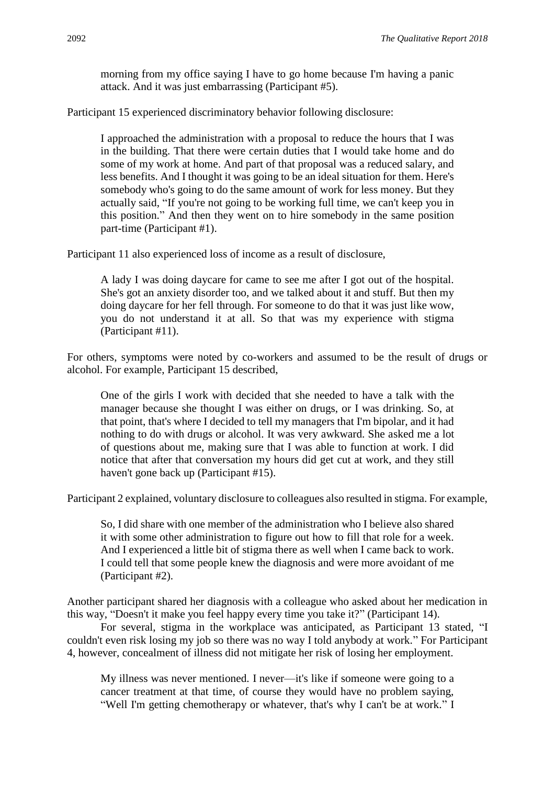morning from my office saying I have to go home because I'm having a panic attack. And it was just embarrassing (Participant #5).

Participant 15 experienced discriminatory behavior following disclosure:

I approached the administration with a proposal to reduce the hours that I was in the building. That there were certain duties that I would take home and do some of my work at home. And part of that proposal was a reduced salary, and less benefits. And I thought it was going to be an ideal situation for them. Here's somebody who's going to do the same amount of work for less money. But they actually said, "If you're not going to be working full time, we can't keep you in this position." And then they went on to hire somebody in the same position part-time (Participant #1).

Participant 11 also experienced loss of income as a result of disclosure,

A lady I was doing daycare for came to see me after I got out of the hospital. She's got an anxiety disorder too, and we talked about it and stuff. But then my doing daycare for her fell through. For someone to do that it was just like wow, you do not understand it at all. So that was my experience with stigma (Participant #11).

For others, symptoms were noted by co-workers and assumed to be the result of drugs or alcohol. For example, Participant 15 described,

One of the girls I work with decided that she needed to have a talk with the manager because she thought I was either on drugs, or I was drinking. So, at that point, that's where I decided to tell my managers that I'm bipolar, and it had nothing to do with drugs or alcohol. It was very awkward. She asked me a lot of questions about me, making sure that I was able to function at work. I did notice that after that conversation my hours did get cut at work, and they still haven't gone back up (Participant #15).

Participant 2 explained, voluntary disclosure to colleagues also resulted in stigma. For example,

So, I did share with one member of the administration who I believe also shared it with some other administration to figure out how to fill that role for a week. And I experienced a little bit of stigma there as well when I came back to work. I could tell that some people knew the diagnosis and were more avoidant of me (Participant #2).

Another participant shared her diagnosis with a colleague who asked about her medication in this way, "Doesn't it make you feel happy every time you take it?" (Participant 14).

For several, stigma in the workplace was anticipated, as Participant 13 stated, "I couldn't even risk losing my job so there was no way I told anybody at work." For Participant 4, however, concealment of illness did not mitigate her risk of losing her employment.

My illness was never mentioned. I never—it's like if someone were going to a cancer treatment at that time, of course they would have no problem saying, "Well I'm getting chemotherapy or whatever, that's why I can't be at work." I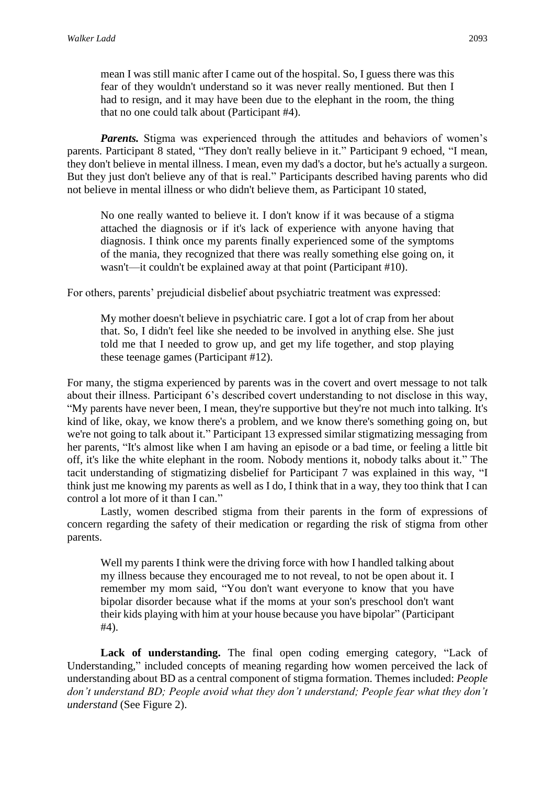mean I was still manic after I came out of the hospital. So, I guess there was this fear of they wouldn't understand so it was never really mentioned. But then I had to resign, and it may have been due to the elephant in the room, the thing that no one could talk about (Participant #4).

*Parents.* Stigma was experienced through the attitudes and behaviors of women's parents. Participant 8 stated, "They don't really believe in it." Participant 9 echoed, "I mean, they don't believe in mental illness. I mean, even my dad's a doctor, but he's actually a surgeon. But they just don't believe any of that is real." Participants described having parents who did not believe in mental illness or who didn't believe them, as Participant 10 stated,

No one really wanted to believe it. I don't know if it was because of a stigma attached the diagnosis or if it's lack of experience with anyone having that diagnosis. I think once my parents finally experienced some of the symptoms of the mania, they recognized that there was really something else going on, it wasn't—it couldn't be explained away at that point (Participant #10).

For others, parents' prejudicial disbelief about psychiatric treatment was expressed:

My mother doesn't believe in psychiatric care. I got a lot of crap from her about that. So, I didn't feel like she needed to be involved in anything else. She just told me that I needed to grow up, and get my life together, and stop playing these teenage games (Participant #12).

For many, the stigma experienced by parents was in the covert and overt message to not talk about their illness. Participant 6's described covert understanding to not disclose in this way, "My parents have never been, I mean, they're supportive but they're not much into talking. It's kind of like, okay, we know there's a problem, and we know there's something going on, but we're not going to talk about it." Participant 13 expressed similar stigmatizing messaging from her parents, "It's almost like when I am having an episode or a bad time, or feeling a little bit off, it's like the white elephant in the room. Nobody mentions it, nobody talks about it." The tacit understanding of stigmatizing disbelief for Participant 7 was explained in this way, "I think just me knowing my parents as well as I do, I think that in a way, they too think that I can control a lot more of it than I can."

Lastly, women described stigma from their parents in the form of expressions of concern regarding the safety of their medication or regarding the risk of stigma from other parents.

Well my parents I think were the driving force with how I handled talking about my illness because they encouraged me to not reveal, to not be open about it. I remember my mom said, "You don't want everyone to know that you have bipolar disorder because what if the moms at your son's preschool don't want their kids playing with him at your house because you have bipolar" (Participant #4).

Lack of understanding. The final open coding emerging category, "Lack of Understanding," included concepts of meaning regarding how women perceived the lack of understanding about BD as a central component of stigma formation. Themes included: *People don't understand BD; People avoid what they don't understand; People fear what they don't understand* (See Figure 2).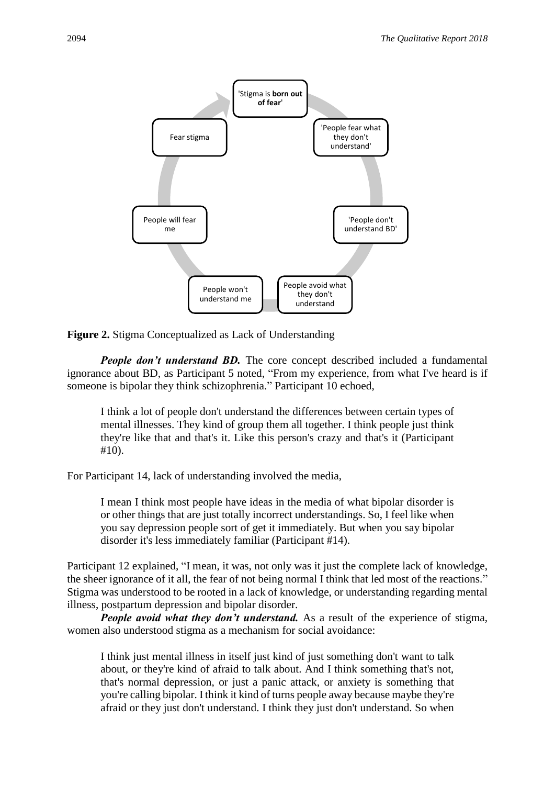

**Figure 2.** Stigma Conceptualized as Lack of Understanding

*People don't understand BD.* The core concept described included a fundamental ignorance about BD, as Participant 5 noted, "From my experience, from what I've heard is if someone is bipolar they think schizophrenia." Participant 10 echoed,

I think a lot of people don't understand the differences between certain types of mental illnesses. They kind of group them all together. I think people just think they're like that and that's it. Like this person's crazy and that's it (Participant #10).

For Participant 14, lack of understanding involved the media,

I mean I think most people have ideas in the media of what bipolar disorder is or other things that are just totally incorrect understandings. So, I feel like when you say depression people sort of get it immediately. But when you say bipolar disorder it's less immediately familiar (Participant #14).

Participant 12 explained, "I mean, it was, not only was it just the complete lack of knowledge, the sheer ignorance of it all, the fear of not being normal I think that led most of the reactions." Stigma was understood to be rooted in a lack of knowledge, or understanding regarding mental illness, postpartum depression and bipolar disorder.

*People avoid what they don't understand.* As a result of the experience of stigma, women also understood stigma as a mechanism for social avoidance:

I think just mental illness in itself just kind of just something don't want to talk about, or they're kind of afraid to talk about. And I think something that's not, that's normal depression, or just a panic attack, or anxiety is something that you're calling bipolar. I think it kind of turns people away because maybe they're afraid or they just don't understand. I think they just don't understand. So when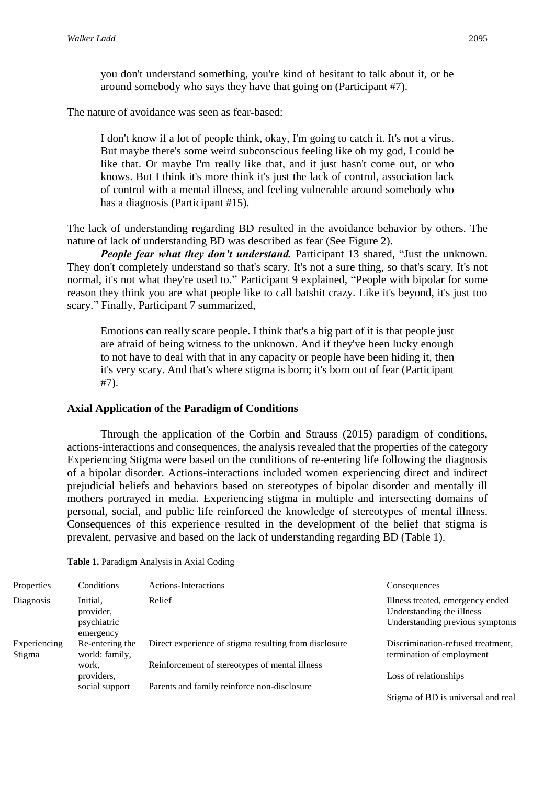you don't understand something, you're kind of hesitant to talk about it, or be around somebody who says they have that going on (Participant #7).

The nature of avoidance was seen as fear-based:

I don't know if a lot of people think, okay, I'm going to catch it. It's not a virus. But maybe there's some weird subconscious feeling like oh my god, I could be like that. Or maybe I'm really like that, and it just hasn't come out, or who knows. But I think it's more think it's just the lack of control, association lack of control with a mental illness, and feeling vulnerable around somebody who has a diagnosis (Participant #15).

The lack of understanding regarding BD resulted in the avoidance behavior by others. The nature of lack of understanding BD was described as fear (See Figure 2).

*People fear what they don't understand.* Participant 13 shared, "Just the unknown. They don't completely understand so that's scary. It's not a sure thing, so that's scary. It's not normal, it's not what they're used to." Participant 9 explained, "People with bipolar for some reason they think you are what people like to call batshit crazy. Like it's beyond, it's just too scary." Finally, Participant 7 summarized,

Emotions can really scare people. I think that's a big part of it is that people just are afraid of being witness to the unknown. And if they've been lucky enough to not have to deal with that in any capacity or people have been hiding it, then it's very scary. And that's where stigma is born; it's born out of fear (Participant #7).

#### **Axial Application of the Paradigm of Conditions**

Through the application of the Corbin and Strauss (2015) paradigm of conditions, actions-interactions and consequences, the analysis revealed that the properties of the category Experiencing Stigma were based on the conditions of re-entering life following the diagnosis of a bipolar disorder. Actions-interactions included women experiencing direct and indirect prejudicial beliefs and behaviors based on stereotypes of bipolar disorder and mentally ill mothers portrayed in media. Experiencing stigma in multiple and intersecting domains of personal, social, and public life reinforced the knowledge of stereotypes of mental illness. Consequences of this experience resulted in the development of the belief that stigma is prevalent, pervasive and based on the lack of understanding regarding BD (Table 1).

| Properties             | Conditions                                        | Actions-Interactions                                  | Consequences                                                                                     |
|------------------------|---------------------------------------------------|-------------------------------------------------------|--------------------------------------------------------------------------------------------------|
| Diagnosis              | Initial.<br>provider,<br>psychiatric<br>emergency | Relief                                                | Illness treated, emergency ended<br>Understanding the illness<br>Understanding previous symptoms |
| Experiencing<br>Stigma | Re-entering the<br>world: family,                 | Direct experience of stigma resulting from disclosure | Discrimination-refused treatment,<br>termination of employment                                   |
|                        | work,<br>providers,                               | Reinforcement of stereotypes of mental illness        | Loss of relationships                                                                            |
|                        | social support                                    | Parents and family reinforce non-disclosure           | Stigma of BD is universal and real                                                               |

#### **Table 1.** Paradigm Analysis in Axial Coding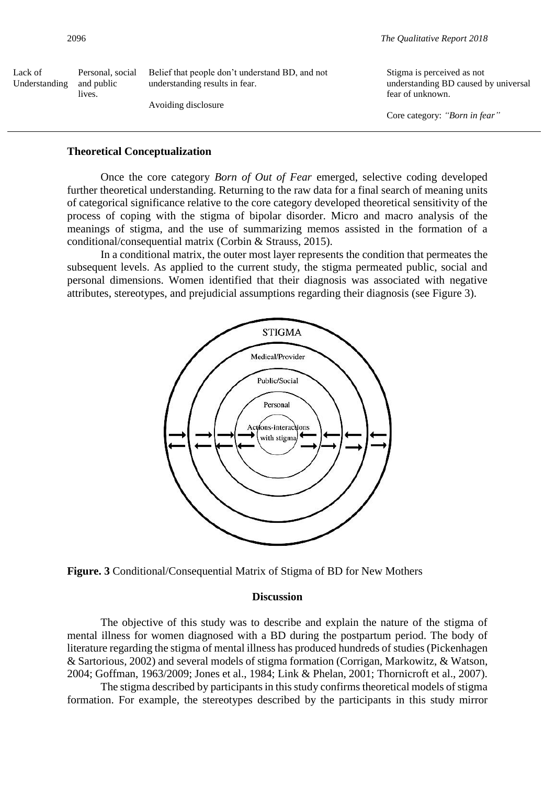| 2096                     |                                          |                                                                                   | The Qualitative Report 2018                                                            |  |
|--------------------------|------------------------------------------|-----------------------------------------------------------------------------------|----------------------------------------------------------------------------------------|--|
| Lack of<br>Understanding | Personal, social<br>and public<br>lives. | Belief that people don't understand BD, and not<br>understanding results in fear. | Stigma is perceived as not<br>understanding BD caused by universal<br>fear of unknown. |  |
|                          |                                          | Avoiding disclosure                                                               | Core category: "Born in fear"                                                          |  |

#### **Theoretical Conceptualization**

Once the core category *Born of Out of Fear* emerged, selective coding developed further theoretical understanding. Returning to the raw data for a final search of meaning units of categorical significance relative to the core category developed theoretical sensitivity of the process of coping with the stigma of bipolar disorder. Micro and macro analysis of the meanings of stigma, and the use of summarizing memos assisted in the formation of a conditional/consequential matrix (Corbin & Strauss, 2015).

In a conditional matrix, the outer most layer represents the condition that permeates the subsequent levels. As applied to the current study, the stigma permeated public, social and personal dimensions. Women identified that their diagnosis was associated with negative attributes, stereotypes, and prejudicial assumptions regarding their diagnosis (see Figure 3).



**Figure. 3** Conditional/Consequential Matrix of Stigma of BD for New Mothers

#### **Discussion**

The objective of this study was to describe and explain the nature of the stigma of mental illness for women diagnosed with a BD during the postpartum period. The body of literature regarding the stigma of mental illness has produced hundreds of studies (Pickenhagen & Sartorious, 2002) and several models of stigma formation (Corrigan, Markowitz, & Watson, 2004; Goffman, 1963/2009; Jones et al., 1984; Link & Phelan, 2001; Thornicroft et al., 2007).

The stigma described by participants in this study confirms theoretical models of stigma formation. For example, the stereotypes described by the participants in this study mirror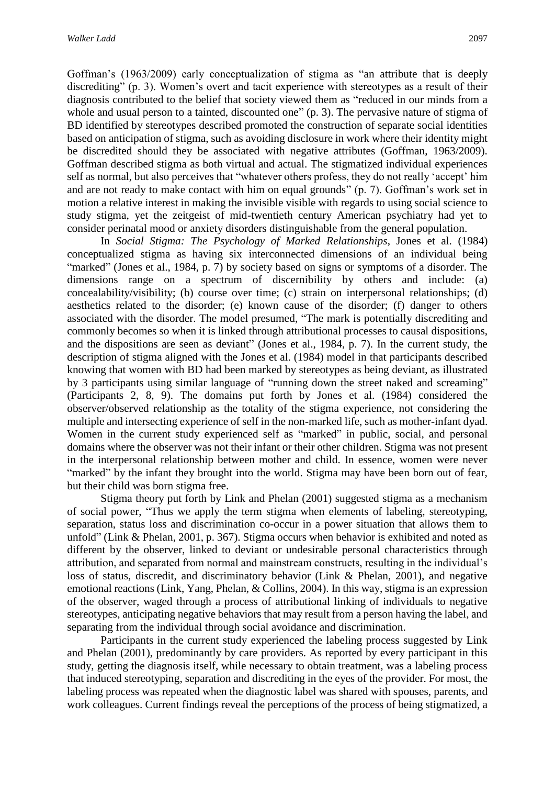Goffman's (1963/2009) early conceptualization of stigma as "an attribute that is deeply discrediting" (p. 3). Women's overt and tacit experience with stereotypes as a result of their diagnosis contributed to the belief that society viewed them as "reduced in our minds from a whole and usual person to a tainted, discounted one" (p. 3). The pervasive nature of stigma of BD identified by stereotypes described promoted the construction of separate social identities based on anticipation of stigma, such as avoiding disclosure in work where their identity might be discredited should they be associated with negative attributes (Goffman, 1963/2009). Goffman described stigma as both virtual and actual. The stigmatized individual experiences self as normal, but also perceives that "whatever others profess, they do not really 'accept' him and are not ready to make contact with him on equal grounds" (p. 7). Goffman's work set in motion a relative interest in making the invisible visible with regards to using social science to study stigma, yet the zeitgeist of mid-twentieth century American psychiatry had yet to consider perinatal mood or anxiety disorders distinguishable from the general population.

In *Social Stigma: The Psychology of Marked Relationships*, Jones et al. (1984) conceptualized stigma as having six interconnected dimensions of an individual being "marked" (Jones et al., 1984, p. 7) by society based on signs or symptoms of a disorder. The dimensions range on a spectrum of discernibility by others and include: (a) concealability/visibility; (b) course over time; (c) strain on interpersonal relationships; (d) aesthetics related to the disorder; (e) known cause of the disorder; (f) danger to others associated with the disorder. The model presumed, "The mark is potentially discrediting and commonly becomes so when it is linked through attributional processes to causal dispositions, and the dispositions are seen as deviant" (Jones et al., 1984, p. 7). In the current study, the description of stigma aligned with the Jones et al. (1984) model in that participants described knowing that women with BD had been marked by stereotypes as being deviant, as illustrated by 3 participants using similar language of "running down the street naked and screaming" (Participants 2, 8, 9). The domains put forth by Jones et al. (1984) considered the observer/observed relationship as the totality of the stigma experience, not considering the multiple and intersecting experience of self in the non-marked life, such as mother-infant dyad. Women in the current study experienced self as "marked" in public, social, and personal domains where the observer was not their infant or their other children. Stigma was not present in the interpersonal relationship between mother and child. In essence, women were never "marked" by the infant they brought into the world. Stigma may have been born out of fear, but their child was born stigma free.

Stigma theory put forth by Link and Phelan (2001) suggested stigma as a mechanism of social power, "Thus we apply the term stigma when elements of labeling, stereotyping, separation, status loss and discrimination co-occur in a power situation that allows them to unfold" (Link & Phelan, 2001, p. 367). Stigma occurs when behavior is exhibited and noted as different by the observer, linked to deviant or undesirable personal characteristics through attribution, and separated from normal and mainstream constructs, resulting in the individual's loss of status, discredit, and discriminatory behavior (Link & Phelan, 2001), and negative emotional reactions (Link, Yang, Phelan, & Collins, 2004). In this way, stigma is an expression of the observer, waged through a process of attributional linking of individuals to negative stereotypes, anticipating negative behaviors that may result from a person having the label, and separating from the individual through social avoidance and discrimination.

Participants in the current study experienced the labeling process suggested by Link and Phelan (2001), predominantly by care providers. As reported by every participant in this study, getting the diagnosis itself, while necessary to obtain treatment, was a labeling process that induced stereotyping, separation and discrediting in the eyes of the provider. For most, the labeling process was repeated when the diagnostic label was shared with spouses, parents, and work colleagues. Current findings reveal the perceptions of the process of being stigmatized, a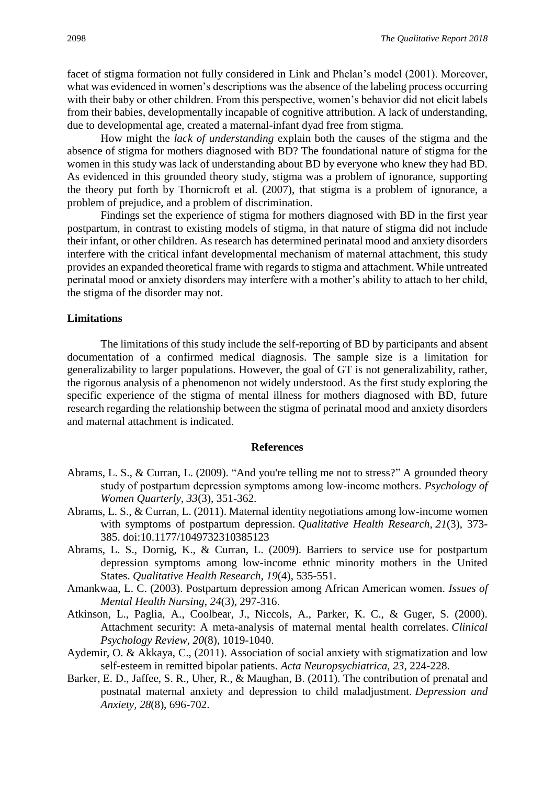facet of stigma formation not fully considered in Link and Phelan's model (2001). Moreover, what was evidenced in women's descriptions was the absence of the labeling process occurring with their baby or other children. From this perspective, women's behavior did not elicit labels from their babies, developmentally incapable of cognitive attribution. A lack of understanding, due to developmental age, created a maternal-infant dyad free from stigma.

How might the *lack of understanding* explain both the causes of the stigma and the absence of stigma for mothers diagnosed with BD? The foundational nature of stigma for the women in this study was lack of understanding about BD by everyone who knew they had BD. As evidenced in this grounded theory study, stigma was a problem of ignorance, supporting the theory put forth by Thornicroft et al. (2007), that stigma is a problem of ignorance, a problem of prejudice, and a problem of discrimination.

Findings set the experience of stigma for mothers diagnosed with BD in the first year postpartum, in contrast to existing models of stigma, in that nature of stigma did not include their infant, or other children. As research has determined perinatal mood and anxiety disorders interfere with the critical infant developmental mechanism of maternal attachment, this study provides an expanded theoretical frame with regards to stigma and attachment. While untreated perinatal mood or anxiety disorders may interfere with a mother's ability to attach to her child, the stigma of the disorder may not.

#### **Limitations**

The limitations of this study include the self-reporting of BD by participants and absent documentation of a confirmed medical diagnosis. The sample size is a limitation for generalizability to larger populations. However, the goal of GT is not generalizability, rather, the rigorous analysis of a phenomenon not widely understood. As the first study exploring the specific experience of the stigma of mental illness for mothers diagnosed with BD, future research regarding the relationship between the stigma of perinatal mood and anxiety disorders and maternal attachment is indicated.

#### **References**

- Abrams, L. S., & Curran, L. (2009). "And you're telling me not to stress?" A grounded theory study of postpartum depression symptoms among low‐income mothers. *Psychology of Women Quarterly*, *33*(3), 351-362.
- Abrams, L. S., & Curran, L. (2011). Maternal identity negotiations among low-income women with symptoms of postpartum depression. *Qualitative Health Research, 21*(3), 373- 385. doi:10.1177/1049732310385123
- Abrams, L. S., Dornig, K., & Curran, L. (2009). Barriers to service use for postpartum depression symptoms among low-income ethnic minority mothers in the United States. *Qualitative Health Research*, *19*(4), 535-551.
- Amankwaa, L. C. (2003). Postpartum depression among African American women. *Issues of Mental Health Nursing*, *24*(3), 297-316.
- Atkinson, L., Paglia, A., Coolbear, J., Niccols, A., Parker, K. C., & Guger, S. (2000). Attachment security: A meta-analysis of maternal mental health correlates. *Clinical Psychology Review, 20*(8), 1019-1040.
- Aydemir, O. & Akkaya, C., (2011). Association of social anxiety with stigmatization and low self-esteem in remitted bipolar patients. *Acta Neuropsychiatrica, 23*, 224-228.
- Barker, E. D., Jaffee, S. R., Uher, R., & Maughan, B. (2011). The contribution of prenatal and postnatal maternal anxiety and depression to child maladjustment. *Depression and Anxiety, 28*(8), 696-702.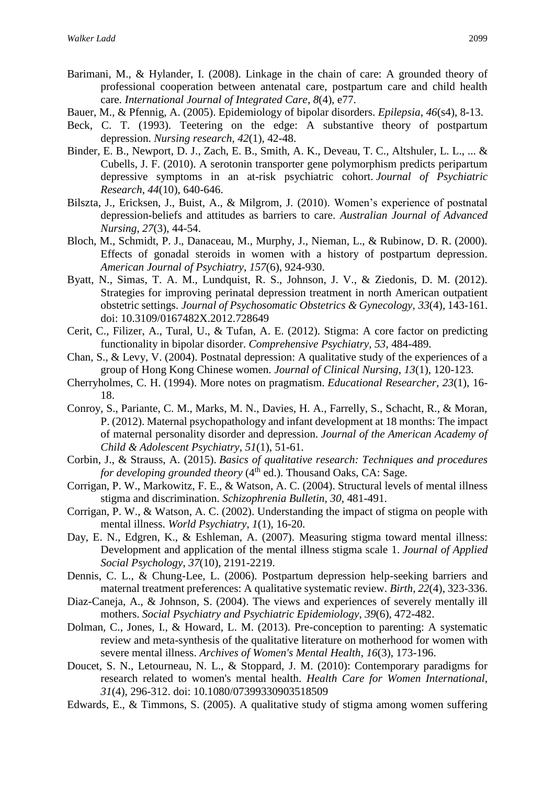- Barimani, M., & Hylander, I. (2008). Linkage in the chain of care: A grounded theory of professional cooperation between antenatal care, postpartum care and child health care. *International Journal of Integrated Care*, *8*(4), e77.
- Bauer, M., & Pfennig, A. (2005). Epidemiology of bipolar disorders. *Epilepsia*, *46*(s4), 8-13.
- Beck, C. T. (1993). Teetering on the edge: A substantive theory of postpartum depression. *Nursing research*, *42*(1), 42-48.
- Binder, E. B., Newport, D. J., Zach, E. B., Smith, A. K., Deveau, T. C., Altshuler, L. L., ... & Cubells, J. F. (2010). A serotonin transporter gene polymorphism predicts peripartum depressive symptoms in an at-risk psychiatric cohort. *Journal of Psychiatric Research*, *44*(10), 640-646.
- Bilszta, J., Ericksen, J., Buist, A., & Milgrom, J. (2010). Women's experience of postnatal depression-beliefs and attitudes as barriers to care. *Australian Journal of Advanced Nursing*, *27*(3), 44-54.
- Bloch, M., Schmidt, P. J., Danaceau, M., Murphy, J., Nieman, L., & Rubinow, D. R. (2000). Effects of gonadal steroids in women with a history of postpartum depression. *American Journal of Psychiatry*, *157*(6), 924-930.
- Byatt, N., Simas, T. A. M., Lundquist, R. S., Johnson, J. V., & Ziedonis, D. M. (2012). Strategies for improving perinatal depression treatment in north American outpatient obstetric settings. *Journal of Psychosomatic Obstetrics & Gynecology, 33*(4), 143-161. doi: 10.3109/0167482X.2012.728649
- Cerit, C., Filizer, A., Tural, U., & Tufan, A. E. (2012). Stigma: A core factor on predicting functionality in bipolar disorder. *Comprehensive Psychiatry, 53*, 484-489.
- Chan, S., & Levy, V. (2004). Postnatal depression: A qualitative study of the experiences of a group of Hong Kong Chinese women. *Journal of Clinical Nursing*, *13*(1), 120-123.
- Cherryholmes, C. H. (1994). More notes on pragmatism. *Educational Researcher, 23*(1), 16- 18.
- Conroy, S., Pariante, C. M., Marks, M. N., Davies, H. A., Farrelly, S., Schacht, R., & Moran, P. (2012). Maternal psychopathology and infant development at 18 months: The impact of maternal personality disorder and depression. *Journal of the American Academy of Child & Adolescent Psychiatry, 51*(1), 51-61.
- Corbin, J., & Strauss, A. (2015). *Basics of qualitative research: Techniques and procedures for developing grounded theory* (4<sup>th</sup> ed.). Thousand Oaks, CA: Sage.
- Corrigan, P. W., Markowitz, F. E., & Watson, A. C. (2004). Structural levels of mental illness stigma and discrimination. *Schizophrenia Bulletin, 30*, 481-491.
- Corrigan, P. W., & Watson, A. C. (2002). Understanding the impact of stigma on people with mental illness. *World Psychiatry*, *1*(1), 16-20.
- Day, E. N., Edgren, K., & Eshleman, A. (2007). Measuring stigma toward mental illness: Development and application of the mental illness stigma scale 1. *Journal of Applied Social Psychology*, *37*(10), 2191-2219.
- Dennis, C. L., & Chung-Lee, L. (2006). Postpartum depression help-seeking barriers and maternal treatment preferences: A qualitative systematic review. *Birth*, *22*(4), 323-336.
- Diaz-Caneja, A., & Johnson, S. (2004). The views and experiences of severely mentally ill mothers. *Social Psychiatry and Psychiatric Epidemiology*, *39*(6), 472-482.
- Dolman, C., Jones, I., & Howard, L. M. (2013). Pre-conception to parenting: A systematic review and meta-synthesis of the qualitative literature on motherhood for women with severe mental illness. *Archives of Women's Mental Health*, *16*(3), 173-196.
- Doucet, S. N., Letourneau, N. L., & Stoppard, J. M. (2010): Contemporary paradigms for research related to women's mental health. *Health Care for Women International, 31*(4), 296-312. doi: 10.1080/07399330903518509
- Edwards, E., & Timmons, S. (2005). A qualitative study of stigma among women suffering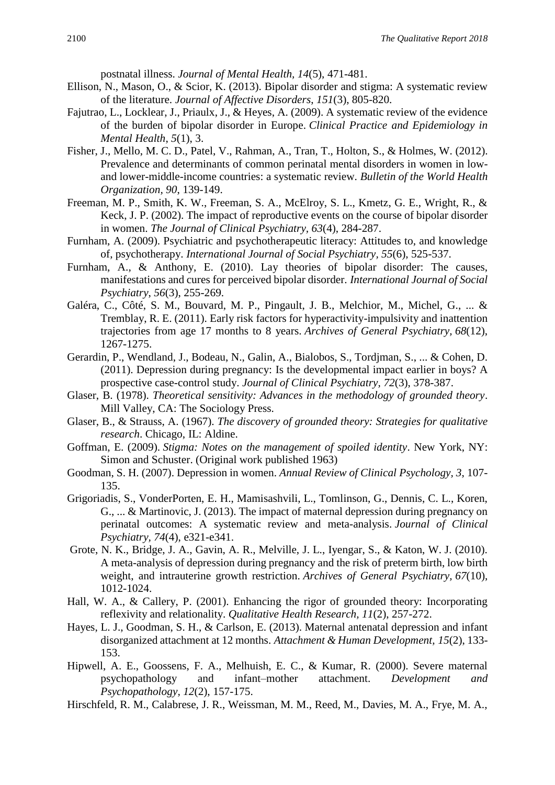postnatal illness. *Journal of Mental Health, 14*(5), 471-481.

- Ellison, N., Mason, O., & Scior, K. (2013). Bipolar disorder and stigma: A systematic review of the literature. *Journal of Affective Disorders*, *151*(3), 805-820.
- Fajutrao, L., Locklear, J., Priaulx, J., & Heyes, A. (2009). A systematic review of the evidence of the burden of bipolar disorder in Europe. *Clinical Practice and Epidemiology in Mental Health*, *5*(1), 3.
- Fisher, J., Mello, M. C. D., Patel, V., Rahman, A., Tran, T., Holton, S., & Holmes, W. (2012). Prevalence and determinants of common perinatal mental disorders in women in lowand lower-middle-income countries: a systematic review. *Bulletin of the World Health Organization, 90*, 139-149.
- Freeman, M. P., Smith, K. W., Freeman, S. A., McElroy, S. L., Kmetz, G. E., Wright, R., & Keck, J. P. (2002). The impact of reproductive events on the course of bipolar disorder in women. *The Journal of Clinical Psychiatry, 63*(4), 284-287.
- Furnham, A. (2009). Psychiatric and psychotherapeutic literacy: Attitudes to, and knowledge of, psychotherapy. *International Journal of Social Psychiatry, 55*(6), 525-537.
- Furnham, A., & Anthony, E. (2010). Lay theories of bipolar disorder: The causes, manifestations and cures for perceived bipolar disorder. *International Journal of Social Psychiatry*, *56*(3), 255-269.
- Galéra, C., Côté, S. M., Bouvard, M. P., Pingault, J. B., Melchior, M., Michel, G., ... & Tremblay, R. E. (2011). Early risk factors for hyperactivity-impulsivity and inattention trajectories from age 17 months to 8 years. *Archives of General Psychiatry, 68*(12), 1267-1275.
- Gerardin, P., Wendland, J., Bodeau, N., Galin, A., Bialobos, S., Tordjman, S., ... & Cohen, D. (2011). Depression during pregnancy: Is the developmental impact earlier in boys? A prospective case-control study. *Journal of Clinical Psychiatry, 72*(3), 378-387.
- Glaser, B. (1978). *Theoretical sensitivity: Advances in the methodology of grounded theory*. Mill Valley, CA: The Sociology Press.
- Glaser, B., & Strauss, A. (1967). *The discovery of grounded theory: Strategies for qualitative research*. Chicago, IL: Aldine.
- Goffman, E. (2009). *Stigma: Notes on the management of spoiled identity*. New York, NY: Simon and Schuster. (Original work published 1963)
- Goodman, S. H. (2007). Depression in women. *Annual Review of Clinical Psychology, 3*, 107- 135.
- Grigoriadis, S., VonderPorten, E. H., Mamisashvili, L., Tomlinson, G., Dennis, C. L., Koren, G., ... & Martinovic, J. (2013). The impact of maternal depression during pregnancy on perinatal outcomes: A systematic review and meta-analysis. *Journal of Clinical Psychiatry, 74*(4), e321-e341.
- Grote, N. K., Bridge, J. A., Gavin, A. R., Melville, J. L., Iyengar, S., & Katon, W. J. (2010). A meta-analysis of depression during pregnancy and the risk of preterm birth, low birth weight, and intrauterine growth restriction. *Archives of General Psychiatry, 67*(10), 1012-1024.
- Hall, W. A., & Callery, P. (2001). Enhancing the rigor of grounded theory: Incorporating reflexivity and relationality. *Qualitative Health Research, 11*(2), 257-272.
- Hayes, L. J., Goodman, S. H., & Carlson, E. (2013). Maternal antenatal depression and infant disorganized attachment at 12 months. *Attachment & Human Development, 15*(2), 133- 153.
- Hipwell, A. E., Goossens, F. A., Melhuish, E. C., & Kumar, R. (2000). Severe maternal psychopathology and infant–mother attachment. *Development and Psychopathology, 12*(2), 157-175.
- Hirschfeld, R. M., Calabrese, J. R., Weissman, M. M., Reed, M., Davies, M. A., Frye, M. A.,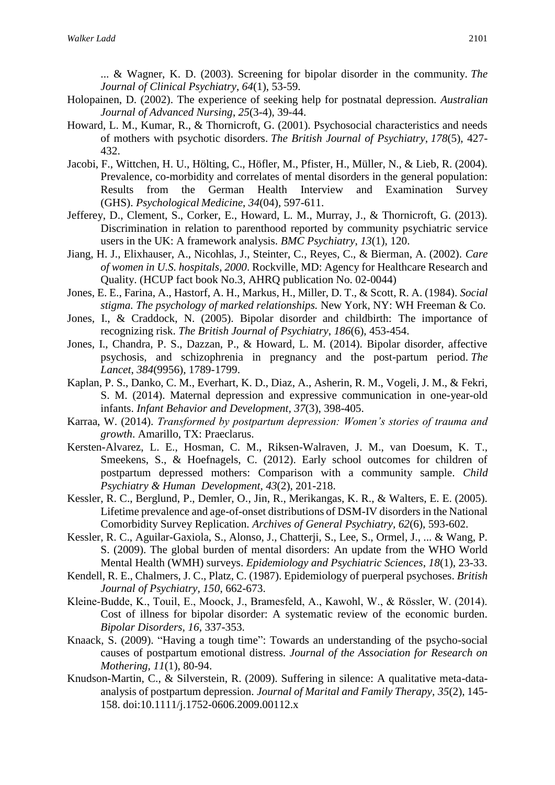... & Wagner, K. D. (2003). Screening for bipolar disorder in the community. *The Journal of Clinical Psychiatry*, *64*(1), 53-59.

- Holopainen, D. (2002). The experience of seeking help for postnatal depression. *Australian Journal of Advanced Nursing*, *25*(3-4), 39-44.
- Howard, L. M., Kumar, R., & Thornicroft, G. (2001). Psychosocial characteristics and needs of mothers with psychotic disorders. *The British Journal of Psychiatry*, *178*(5), 427- 432.
- Jacobi, F., Wittchen, H. U., Hölting, C., Höfler, M., Pfister, H., Müller, N., & Lieb, R. (2004). Prevalence, co-morbidity and correlates of mental disorders in the general population: Results from the German Health Interview and Examination Survey (GHS). *Psychological Medicine*, *34*(04), 597-611.
- Jefferey, D., Clement, S., Corker, E., Howard, L. M., Murray, J., & Thornicroft, G. (2013). Discrimination in relation to parenthood reported by community psychiatric service users in the UK: A framework analysis. *BMC Psychiatry*, *13*(1), 120.
- Jiang, H. J., Elixhauser, A., Nicohlas, J., Steinter, C., Reyes, C., & Bierman, A. (2002). *Care of women in U.S. hospitals, 2000*. Rockville, MD: Agency for Healthcare Research and Quality. (HCUP fact book No.3, AHRQ publication No. 02-0044)
- Jones, E. E., Farina, A., Hastorf, A. H., Markus, H., Miller, D. T., & Scott, R. A. (1984). *Social stigma. The psychology of marked relationships.* New York, NY: WH Freeman & Co.
- Jones, I., & Craddock, N. (2005). Bipolar disorder and childbirth: The importance of recognizing risk. *The British Journal of Psychiatry*, *186*(6), 453-454.
- Jones, I., Chandra, P. S., Dazzan, P., & Howard, L. M. (2014). Bipolar disorder, affective psychosis, and schizophrenia in pregnancy and the post-partum period. *The Lancet*, *384*(9956), 1789-1799.
- Kaplan, P. S., Danko, C. M., Everhart, K. D., Diaz, A., Asherin, R. M., Vogeli, J. M., & Fekri, S. M. (2014). Maternal depression and expressive communication in one-year-old infants. *Infant Behavior and Development, 37*(3), 398-405.
- Karraa, W. (2014). *Transformed by postpartum depression: Women's stories of trauma and growth*. Amarillo, TX: Praeclarus.
- Kersten-Alvarez, L. E., Hosman, C. M., Riksen-Walraven, J. M., van Doesum, K. T., Smeekens, S., & Hoefnagels, C. (2012). Early school outcomes for children of postpartum depressed mothers: Comparison with a community sample. *Child Psychiatry & Human Development, 43*(2), 201-218.
- Kessler, R. C., Berglund, P., Demler, O., Jin, R., Merikangas, K. R., & Walters, E. E. (2005). Lifetime prevalence and age-of-onset distributions of DSM-IV disorders in the National Comorbidity Survey Replication. *Archives of General Psychiatry, 62*(6), 593-602.
- Kessler, R. C., Aguilar-Gaxiola, S., Alonso, J., Chatterji, S., Lee, S., Ormel, J., ... & Wang, P. S. (2009). The global burden of mental disorders: An update from the WHO World Mental Health (WMH) surveys. *Epidemiology and Psychiatric Sciences*, *18*(1), 23-33.
- Kendell, R. E., Chalmers, J. C., Platz, C. (1987). Epidemiology of puerperal psychoses. *British Journal of Psychiatry, 150*, 662-673.
- Kleine‐Budde, K., Touil, E., Moock, J., Bramesfeld, A., Kawohl, W., & Rössler, W. (2014). Cost of illness for bipolar disorder: A systematic review of the economic burden. *Bipolar Disorders, 16*, 337-353.
- Knaack, S. (2009). "Having a tough time": Towards an understanding of the psycho-social causes of postpartum emotional distress. *Journal of the Association for Research on Mothering, 11*(1), 80-94.
- Knudson-Martin, C., & Silverstein, R. (2009). Suffering in silence: A qualitative meta-dataanalysis of postpartum depression. *Journal of Marital and Family Therapy, 35*(2), 145- 158. doi:10.1111/j.1752-0606.2009.00112.x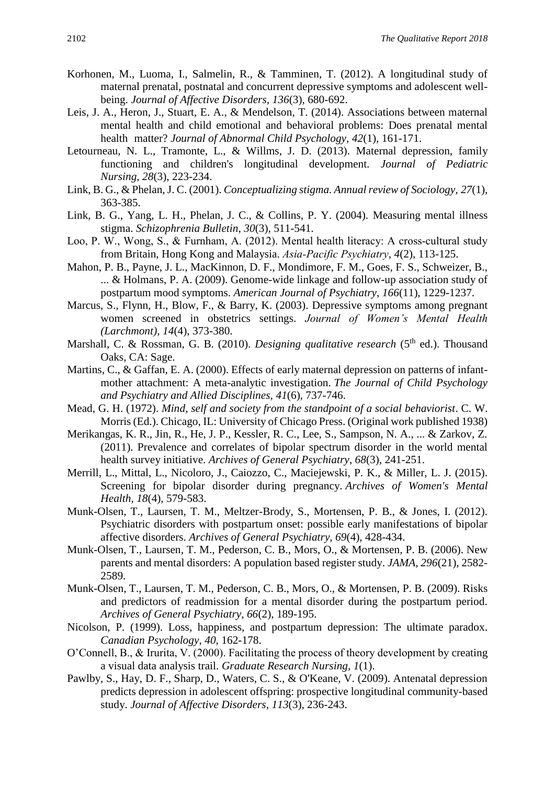- Korhonen, M., Luoma, I., Salmelin, R., & Tamminen, T. (2012). A longitudinal study of maternal prenatal, postnatal and concurrent depressive symptoms and adolescent wellbeing. *Journal of Affective Disorders, 136*(3), 680-692.
- Leis, J. A., Heron, J., Stuart, E. A., & Mendelson, T. (2014). Associations between maternal mental health and child emotional and behavioral problems: Does prenatal mental health matter? *Journal of Abnormal Child Psychology, 42*(1), 161-171.
- Letourneau, N. L., Tramonte, L., & Willms, J. D. (2013). Maternal depression, family functioning and children's longitudinal development. *Journal of Pediatric Nursing, 28*(3), 223-234.
- Link, B. G., & Phelan, J. C. (2001). *Conceptualizing stigma. Annual review of Sociology, 27*(1), 363-385.
- Link, B. G., Yang, L. H., Phelan, J. C., & Collins, P. Y. (2004). Measuring mental illness stigma. *Schizophrenia Bulletin, 30*(3), 511-541.
- Loo, P. W., Wong, S., & Furnham, A. (2012). Mental health literacy: A cross-cultural study from Britain, Hong Kong and Malaysia. *Asia‐Pacific Psychiatry*, *4*(2), 113-125.
- Mahon, P. B., Payne, J. L., MacKinnon, D. F., Mondimore, F. M., Goes, F. S., Schweizer, B., ... & Holmans, P. A. (2009). Genome-wide linkage and follow-up association study of postpartum mood symptoms. *American Journal of Psychiatry*, *166*(11), 1229-1237.
- Marcus, S., Flynn, H., Blow, F., & Barry, K. (2003). Depressive symptoms among pregnant women screened in obstetrics settings. *Journal of Women's Mental Health (Larchmont), 14*(4), 373-380.
- Marshall, C. & Rossman, G. B. (2010). *Designing qualitative research* (5<sup>th</sup> ed.). Thousand Oaks, CA: Sage.
- Martins, C., & Gaffan, E. A. (2000). Effects of early maternal depression on patterns of infantmother attachment: A meta-analytic investigation. *The Journal of Child Psychology and Psychiatry and Allied Disciplines, 41*(6), 737-746.
- Mead, G. H. (1972). *Mind, self and society from the standpoint of a social behaviorist*. C. W. Morris(Ed.). Chicago, IL: University of Chicago Press. (Original work published 1938)
- Merikangas, K. R., Jin, R., He, J. P., Kessler, R. C., Lee, S., Sampson, N. A., ... & Zarkov, Z. (2011). Prevalence and correlates of bipolar spectrum disorder in the world mental health survey initiative. *Archives of General Psychiatry*, *68*(3), 241-251.
- Merrill, L., Mittal, L., Nicoloro, J., Caiozzo, C., Maciejewski, P. K., & Miller, L. J. (2015). Screening for bipolar disorder during pregnancy. *Archives of Women's Mental Health*, *18*(4), 579-583.
- Munk-Olsen, T., Laursen, T. M., Meltzer-Brody, S., Mortensen, P. B., & Jones, I. (2012). Psychiatric disorders with postpartum onset: possible early manifestations of bipolar affective disorders. *Archives of General Psychiatry, 69*(4), 428-434.
- Munk-Olsen, T., Laursen, T. M., Pederson, C. B., Mors, O., & Mortensen, P. B. (2006). New parents and mental disorders: A population based register study. *JAMA, 296*(21), 2582- 2589.
- Munk-Olsen, T., Laursen, T. M., Pederson, C. B., Mors, O., & Mortensen, P. B. (2009). Risks and predictors of readmission for a mental disorder during the postpartum period. *Archives of General Psychiatry, 66*(2), 189-195.
- Nicolson, P. (1999). Loss, happiness, and postpartum depression: The ultimate paradox. *Canadian Psychology*, *40*, 162-178.
- O'Connell, B., & Irurita, V. (2000). Facilitating the process of theory development by creating a visual data analysis trail. *Graduate Research Nursing, 1*(1).
- Pawlby, S., Hay, D. F., Sharp, D., Waters, C. S., & O'Keane, V. (2009). Antenatal depression predicts depression in adolescent offspring: prospective longitudinal community-based study. *Journal of Affective Disorders, 113*(3), 236-243.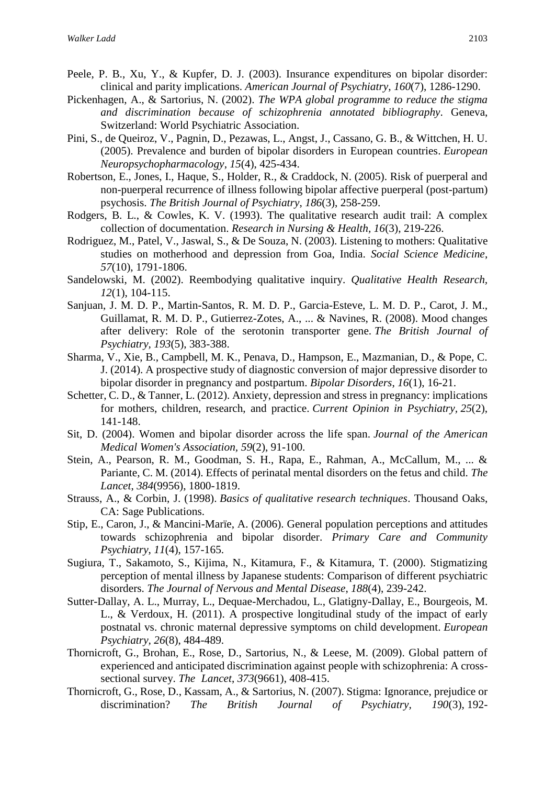- Peele, P. B., Xu, Y., & Kupfer, D. J. (2003). Insurance expenditures on bipolar disorder: clinical and parity implications. *American Journal of Psychiatry*, *160*(7), 1286-1290.
- Pickenhagen, A., & Sartorius, N. (2002). *The WPA global programme to reduce the stigma and discrimination because of schizophrenia annotated bibliography*. Geneva, Switzerland: World Psychiatric Association.
- Pini, S., de Queiroz, V., Pagnin, D., Pezawas, L., Angst, J., Cassano, G. B., & Wittchen, H. U. (2005). Prevalence and burden of bipolar disorders in European countries. *European Neuropsychopharmacology*, *15*(4), 425-434.
- Robertson, E., Jones, I., Haque, S., Holder, R., & Craddock, N. (2005). Risk of puerperal and non-puerperal recurrence of illness following bipolar affective puerperal (post-partum) psychosis. *The British Journal of Psychiatry*, *186*(3), 258-259.
- Rodgers, B. L., & Cowles, K. V. (1993). The qualitative research audit trail: A complex collection of documentation. *Research in Nursing & Health, 16*(3), 219-226.
- Rodriguez, M., Patel, V., Jaswal, S., & De Souza, N. (2003). Listening to mothers: Qualitative studies on motherhood and depression from Goa, India. *Social Science Medicine*, *57*(10), 1791-1806.
- Sandelowski, M. (2002). Reembodying qualitative inquiry. *Qualitative Health Research, 12*(1), 104-115.
- Sanjuan, J. M. D. P., Martin-Santos, R. M. D. P., Garcia-Esteve, L. M. D. P., Carot, J. M., Guillamat, R. M. D. P., Gutierrez-Zotes, A., ... & Navines, R. (2008). Mood changes after delivery: Role of the serotonin transporter gene. *The British Journal of Psychiatry, 193*(5), 383-388.
- Sharma, V., Xie, B., Campbell, M. K., Penava, D., Hampson, E., Mazmanian, D., & Pope, C. J. (2014). A prospective study of diagnostic conversion of major depressive disorder to bipolar disorder in pregnancy and postpartum. *Bipolar Disorders*, *16*(1), 16-21.
- Schetter, C. D., & Tanner, L. (2012). Anxiety, depression and stress in pregnancy: implications for mothers, children, research, and practice. *Current Opinion in Psychiatry, 25*(2), 141-148.
- Sit, D. (2004). Women and bipolar disorder across the life span. *Journal of the American Medical Women's Association, 59*(2), 91-100.
- Stein, A., Pearson, R. M., Goodman, S. H., Rapa, E., Rahman, A., McCallum, M., ... & Pariante, C. M. (2014). Effects of perinatal mental disorders on the fetus and child. *The Lancet*, *384*(9956), 1800-1819.
- Strauss, A., & Corbin, J. (1998). *Basics of qualitative research techniques*. Thousand Oaks, CA: Sage Publications.
- Stip, E., Caron, J., & Mancini-Marïe, A. (2006). General population perceptions and attitudes towards schizophrenia and bipolar disorder. *Primary Care and Community Psychiatry*, *11*(4), 157-165.
- Sugiura, T., Sakamoto, S., Kijima, N., Kitamura, F., & Kitamura, T. (2000). Stigmatizing perception of mental illness by Japanese students: Comparison of different psychiatric disorders. *The Journal of Nervous and Mental Disease*, *188*(4), 239-242.
- Sutter-Dallay, A. L., Murray, L., Dequae-Merchadou, L., Glatigny-Dallay, E., Bourgeois, M. L., & Verdoux, H. (2011). A prospective longitudinal study of the impact of early postnatal vs. chronic maternal depressive symptoms on child development. *European Psychiatry, 26*(8), 484-489.
- Thornicroft, G., Brohan, E., Rose, D., Sartorius, N., & Leese, M. (2009). Global pattern of experienced and anticipated discrimination against people with schizophrenia: A crosssectional survey. *The Lancet*, *373*(9661), 408-415.
- Thornicroft, G., Rose, D., Kassam, A., & Sartorius, N. (2007). Stigma: Ignorance, prejudice or discrimination? *The British Journal of Psychiatry, 190*(3), 192-